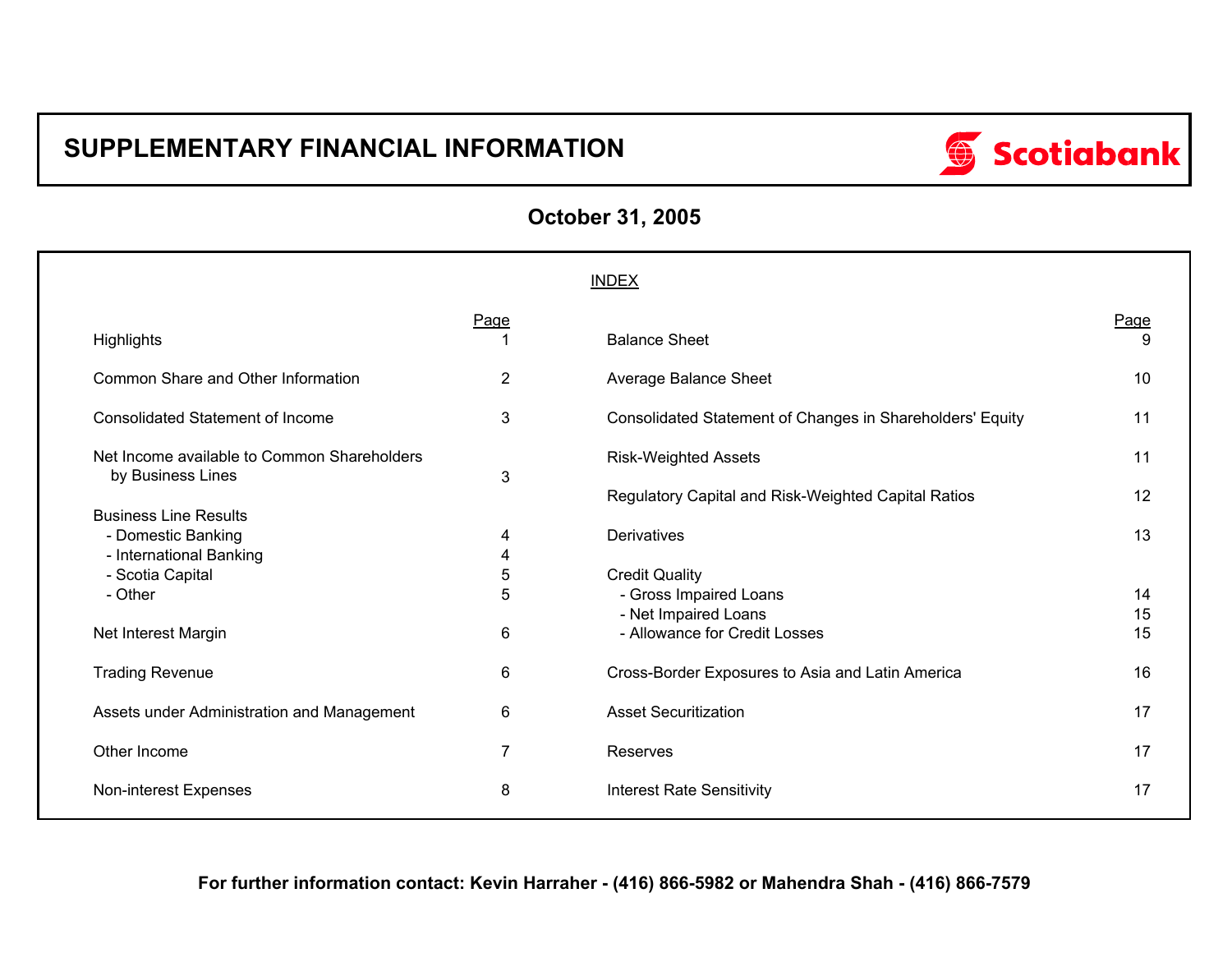# **SUPPLEMENTARY FINANCIAL INFORMATION**



| <b>October 31, 2005</b> |  |  |  |  |  |
|-------------------------|--|--|--|--|--|
|-------------------------|--|--|--|--|--|

|                                                                  |                | <b>INDEX</b>                                              |           |
|------------------------------------------------------------------|----------------|-----------------------------------------------------------|-----------|
| Highlights                                                       | Page           | <b>Balance Sheet</b>                                      | Page<br>9 |
| Common Share and Other Information                               | $\overline{2}$ | Average Balance Sheet                                     | 10        |
| <b>Consolidated Statement of Income</b>                          | 3              | Consolidated Statement of Changes in Shareholders' Equity | 11        |
| Net Income available to Common Shareholders<br>by Business Lines | 3              | <b>Risk-Weighted Assets</b>                               | 11        |
| <b>Business Line Results</b>                                     |                | Regulatory Capital and Risk-Weighted Capital Ratios       | 12        |
| - Domestic Banking<br>- International Banking                    | 4<br>4         | Derivatives                                               | 13        |
| - Scotia Capital                                                 | 5              | <b>Credit Quality</b>                                     |           |
| - Other                                                          | 5              | - Gross Impaired Loans<br>- Net Impaired Loans            | 14<br>15  |
| Net Interest Margin                                              | 6              | - Allowance for Credit Losses                             | 15        |
| <b>Trading Revenue</b>                                           | 6              | Cross-Border Exposures to Asia and Latin America          | 16        |
| Assets under Administration and Management                       | 6              | <b>Asset Securitization</b>                               | 17        |
| Other Income                                                     | 7              | Reserves                                                  | 17        |
| Non-interest Expenses                                            | 8              | <b>Interest Rate Sensitivity</b>                          | 17        |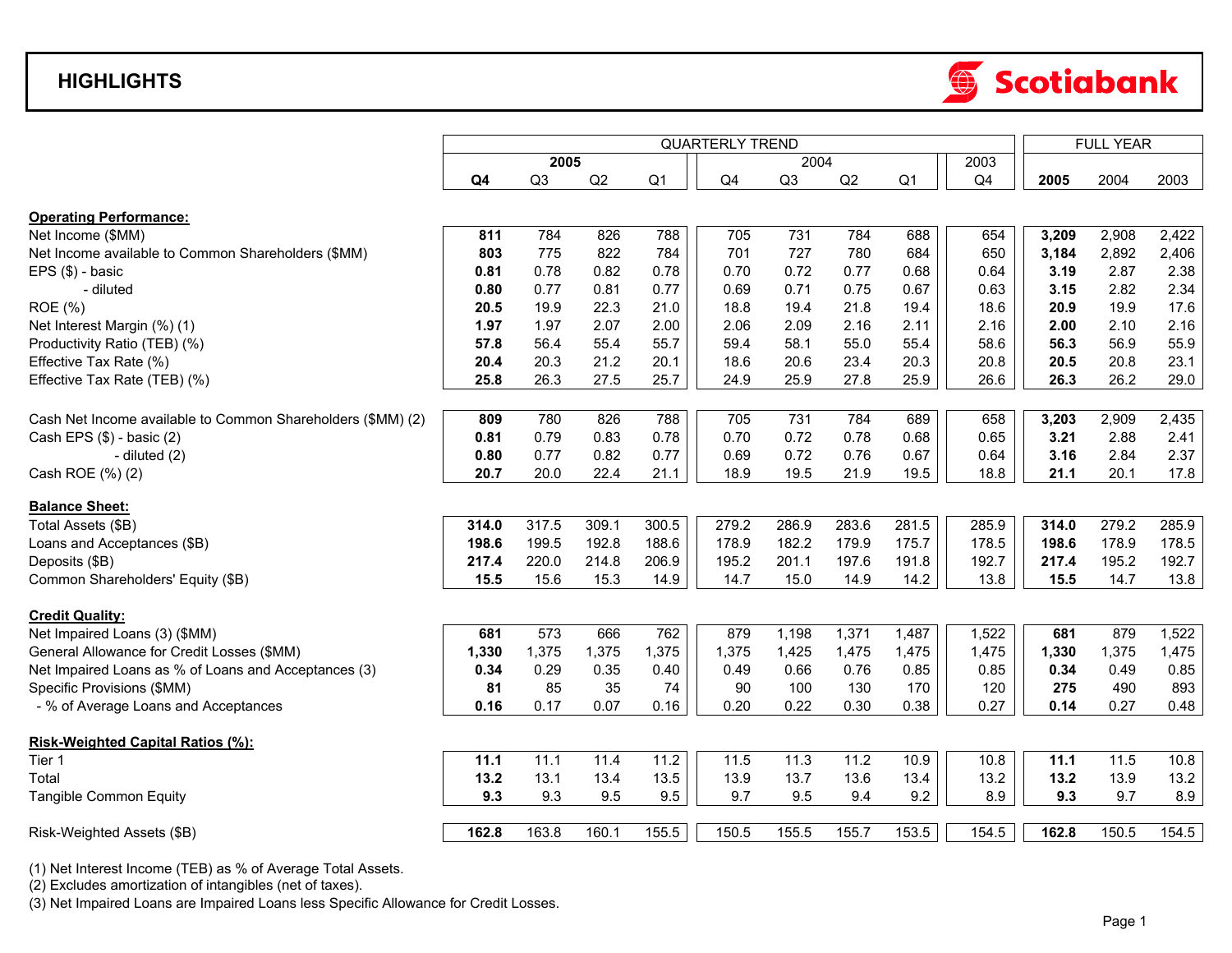## **HIGHLIGHTS**



|                                                             |                |                |       |                | <b>QUARTERLY TREND</b> |       |       |                |       |       | <b>FULL YEAR</b> |       |
|-------------------------------------------------------------|----------------|----------------|-------|----------------|------------------------|-------|-------|----------------|-------|-------|------------------|-------|
|                                                             |                | 2005           |       |                |                        | 2004  |       |                | 2003  |       |                  |       |
|                                                             | Q <sub>4</sub> | Q <sub>3</sub> | Q2    | Q <sub>1</sub> | Q <sub>4</sub>         | Q3    | Q2    | Q <sub>1</sub> | Q4    | 2005  | 2004             | 2003  |
| <b>Operating Performance:</b>                               |                |                |       |                |                        |       |       |                |       |       |                  |       |
| Net Income (\$MM)                                           | 811            | 784            | 826   | 788            | 705                    | 731   | 784   | 688            | 654   | 3,209 | 2,908            | 2,422 |
| Net Income available to Common Shareholders (\$MM)          | 803            | 775            | 822   | 784            | 701                    | 727   | 780   | 684            | 650   | 3,184 | 2,892            | 2,406 |
| EPS (\$) - basic                                            | 0.81           | 0.78           | 0.82  | 0.78           | 0.70                   | 0.72  | 0.77  | 0.68           | 0.64  | 3.19  | 2.87             | 2.38  |
| - diluted                                                   | 0.80           | 0.77           | 0.81  | 0.77           | 0.69                   | 0.71  | 0.75  | 0.67           | 0.63  | 3.15  | 2.82             | 2.34  |
| ROE (%)                                                     | 20.5           | 19.9           | 22.3  | 21.0           | 18.8                   | 19.4  | 21.8  | 19.4           | 18.6  | 20.9  | 19.9             | 17.6  |
| Net Interest Margin (%) (1)                                 | 1.97           | 1.97           | 2.07  | 2.00           | 2.06                   | 2.09  | 2.16  | 2.11           | 2.16  | 2.00  | 2.10             | 2.16  |
| Productivity Ratio (TEB) (%)                                | 57.8           | 56.4           | 55.4  | 55.7           | 59.4                   | 58.1  | 55.0  | 55.4           | 58.6  | 56.3  | 56.9             | 55.9  |
| Effective Tax Rate (%)                                      | 20.4           | 20.3           | 21.2  | 20.1           | 18.6                   | 20.6  | 23.4  | 20.3           | 20.8  | 20.5  | 20.8             | 23.1  |
| Effective Tax Rate (TEB) (%)                                | 25.8           | 26.3           | 27.5  | 25.7           | 24.9                   | 25.9  | 27.8  | 25.9           | 26.6  | 26.3  | 26.2             | 29.0  |
| Cash Net Income available to Common Shareholders (\$MM) (2) | 809            | 780            | 826   | 788            | 705                    | 731   | 784   | 689            | 658   | 3,203 | 2,909            | 2,435 |
| Cash EPS (\$) - basic (2)                                   | 0.81           | 0.79           | 0.83  | 0.78           | 0.70                   | 0.72  | 0.78  | 0.68           | 0.65  | 3.21  | 2.88             | 2.41  |
| - diluted (2)                                               | 0.80           | 0.77           | 0.82  | 0.77           | 0.69                   | 0.72  | 0.76  | 0.67           | 0.64  | 3.16  | 2.84             | 2.37  |
| Cash ROE (%) (2)                                            | 20.7           | 20.0           | 22.4  | 21.1           | 18.9                   | 19.5  | 21.9  | 19.5           | 18.8  | 21.1  | 20.1             | 17.8  |
|                                                             |                |                |       |                |                        |       |       |                |       |       |                  |       |
| <b>Balance Sheet:</b>                                       |                |                |       |                |                        |       |       |                |       |       |                  |       |
| Total Assets (\$B)                                          | 314.0          | 317.5          | 309.1 | 300.5          | 279.2                  | 286.9 | 283.6 | 281.5          | 285.9 | 314.0 | 279.2            | 285.9 |
| Loans and Acceptances (\$B)                                 | 198.6          | 199.5          | 192.8 | 188.6          | 178.9                  | 182.2 | 179.9 | 175.7          | 178.5 | 198.6 | 178.9            | 178.5 |
| Deposits (\$B)                                              | 217.4          | 220.0          | 214.8 | 206.9          | 195.2                  | 201.1 | 197.6 | 191.8          | 192.7 | 217.4 | 195.2            | 192.7 |
| Common Shareholders' Equity (\$B)                           | 15.5           | 15.6           | 15.3  | 14.9           | 14.7                   | 15.0  | 14.9  | 14.2           | 13.8  | 15.5  | 14.7             | 13.8  |
| <b>Credit Quality:</b>                                      |                |                |       |                |                        |       |       |                |       |       |                  |       |
| Net Impaired Loans (3) (\$MM)                               | 681            | 573            | 666   | 762            | 879                    | 1,198 | 1,371 | 1,487          | 1,522 | 681   | 879              | 1,522 |
| General Allowance for Credit Losses (\$MM)                  | 1,330          | 1,375          | 1,375 | 1,375          | 1,375                  | 1,425 | 1,475 | 1,475          | 1,475 | 1,330 | 1,375            | 1,475 |
| Net Impaired Loans as % of Loans and Acceptances (3)        | 0.34           | 0.29           | 0.35  | 0.40           | 0.49                   | 0.66  | 0.76  | 0.85           | 0.85  | 0.34  | 0.49             | 0.85  |
| Specific Provisions (\$MM)                                  | 81             | 85             | 35    | 74             | 90                     | 100   | 130   | 170            | 120   | 275   | 490              | 893   |
| - % of Average Loans and Acceptances                        | 0.16           | 0.17           | 0.07  | 0.16           | 0.20                   | 0.22  | 0.30  | 0.38           | 0.27  | 0.14  | 0.27             | 0.48  |
| Risk-Weighted Capital Ratios (%):                           |                |                |       |                |                        |       |       |                |       |       |                  |       |
| Tier 1                                                      | 11.1           | 11.1           | 11.4  | 11.2           | 11.5                   | 11.3  | 11.2  | 10.9           | 10.8  | 11.1  | 11.5             | 10.8  |
| Total                                                       | 13.2           | 13.1           | 13.4  | 13.5           | 13.9                   | 13.7  | 13.6  | 13.4           | 13.2  | 13.2  | 13.9             | 13.2  |
| <b>Tangible Common Equity</b>                               | 9.3            | 9.3            | 9.5   | 9.5            | 9.7                    | 9.5   | 9.4   | 9.2            | 8.9   | 9.3   | 9.7              | 8.9   |
| Risk-Weighted Assets (\$B)                                  | 162.8          | 163.8          | 160.1 | 155.5          | 150.5                  | 155.5 | 155.7 | 153.5          | 154.5 | 162.8 | 150.5            | 154.5 |
|                                                             |                |                |       |                |                        |       |       |                |       |       |                  |       |

(1) Net Interest Income (TEB) as % of Average Total Assets.

(2) Excludes amortization of intangibles (net of taxes).

(3) Net Impaired Loans are Impaired Loans less Specific Allowance for Credit Losses.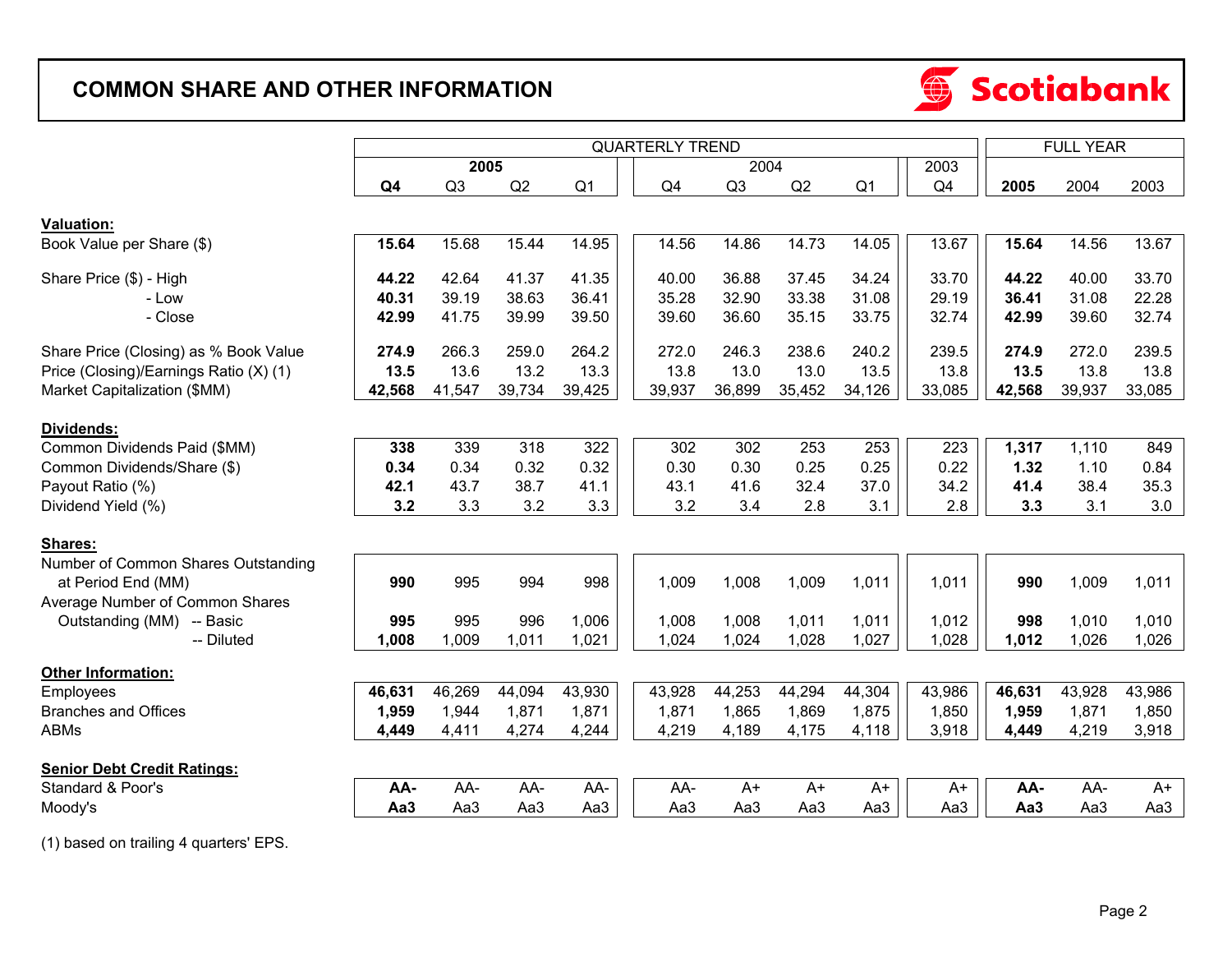# **COMMON SHARE AND OTHER INFORMATION**



|                                        |                                                                                |        |        |        |                | <b>FULL YEAR</b> |        |                |        |                 |        |        |
|----------------------------------------|--------------------------------------------------------------------------------|--------|--------|--------|----------------|------------------|--------|----------------|--------|-----------------|--------|--------|
|                                        | <b>QUARTERLY TREND</b><br>2005<br>Q2<br>Q <sub>4</sub><br>Q3<br>Q <sub>1</sub> |        |        |        |                | 2004             |        |                | 2003   |                 |        |        |
|                                        |                                                                                |        |        |        | Q <sub>4</sub> | Q <sub>3</sub>   | Q2     | Q <sub>1</sub> | Q4     | 2005            | 2004   | 2003   |
|                                        |                                                                                |        |        |        |                |                  |        |                |        |                 |        |        |
| Valuation:                             |                                                                                |        |        |        |                |                  |        |                |        |                 |        |        |
| Book Value per Share (\$)              | 15.64                                                                          | 15.68  | 15.44  | 14.95  | 14.56          | 14.86            | 14.73  | 14.05          | 13.67  | 15.64           | 14.56  | 13.67  |
| Share Price (\$) - High                | 44.22                                                                          | 42.64  | 41.37  | 41.35  | 40.00          | 36.88            | 37.45  | 34.24          | 33.70  | 44.22           | 40.00  | 33.70  |
| - Low                                  | 40.31                                                                          | 39.19  | 38.63  | 36.41  | 35.28          | 32.90            | 33.38  | 31.08          | 29.19  | 36.41           | 31.08  | 22.28  |
| - Close                                | 42.99                                                                          | 41.75  | 39.99  | 39.50  | 39.60          | 36.60            | 35.15  | 33.75          | 32.74  | 42.99           | 39.60  | 32.74  |
| Share Price (Closing) as % Book Value  | 274.9                                                                          | 266.3  | 259.0  | 264.2  | 272.0          | 246.3            | 238.6  | 240.2          | 239.5  | 274.9           | 272.0  | 239.5  |
| Price (Closing)/Earnings Ratio (X) (1) | 13.5                                                                           | 13.6   | 13.2   | 13.3   | 13.8           | 13.0             | 13.0   | 13.5           | 13.8   | 13.5            | 13.8   | 13.8   |
| Market Capitalization (\$MM)           | 42,568                                                                         | 41,547 | 39,734 | 39,425 | 39,937         | 36,899           | 35,452 | 34,126         | 33,085 | 42,568          | 39,937 | 33,085 |
|                                        |                                                                                |        |        |        |                |                  |        |                |        |                 |        |        |
| Dividends:                             |                                                                                |        |        |        |                |                  |        |                |        |                 |        |        |
| Common Dividends Paid (\$MM)           | 338                                                                            | 339    | 318    | 322    | 302            | 302              | 253    | 253            | 223    | 1,317           | 1,110  | 849    |
| Common Dividends/Share (\$)            | 0.34                                                                           | 0.34   | 0.32   | 0.32   | 0.30           | 0.30             | 0.25   | 0.25           | 0.22   | 1.32            | 1.10   | 0.84   |
| Payout Ratio (%)                       | 42.1                                                                           | 43.7   | 38.7   | 41.1   | 43.1           | 41.6             | 32.4   | 37.0           | 34.2   | 41.4            | 38.4   | 35.3   |
| Dividend Yield (%)                     | 3.2                                                                            | 3.3    | 3.2    | 3.3    | 3.2            | 3.4              | 2.8    | 3.1            | 2.8    | 3.3             | 3.1    | 3.0    |
|                                        |                                                                                |        |        |        |                |                  |        |                |        |                 |        |        |
| Shares:                                |                                                                                |        |        |        |                |                  |        |                |        |                 |        |        |
| Number of Common Shares Outstanding    |                                                                                |        |        |        |                |                  |        |                |        |                 |        |        |
| at Period End (MM)                     | 990                                                                            | 995    | 994    | 998    | 1,009          | 1,008            | 1,009  | 1,011          | 1,011  | 990             | 1,009  | 1,011  |
| Average Number of Common Shares        |                                                                                |        |        |        |                |                  |        |                |        |                 |        |        |
| Outstanding (MM) -- Basic              | 995                                                                            | 995    | 996    | 1,006  | 1,008          | 1,008            | 1,011  | 1,011          | 1,012  | 998             | 1,010  | 1,010  |
| -- Diluted                             | 1,008                                                                          | 1,009  | 1,011  | 1,021  | 1,024          | 1,024            | 1,028  | 1,027          | 1,028  | 1,012           | 1,026  | 1,026  |
| <b>Other Information:</b>              |                                                                                |        |        |        |                |                  |        |                |        |                 |        |        |
| Employees                              | 46,631                                                                         | 46,269 | 44,094 | 43,930 | 43,928         | 44,253           | 44,294 | 44,304         | 43,986 | 46,631          | 43,928 | 43,986 |
| <b>Branches and Offices</b>            | 1,959                                                                          | 1,944  | 1,871  | 1,871  | 1,871          | 1,865            | 1,869  | 1,875          | 1,850  | 1,959           | 1,871  | 1,850  |
| <b>ABMs</b>                            | 4,449                                                                          | 4,411  | 4,274  | 4,244  | 4,219          | 4,189            | 4,175  | 4,118          | 3,918  | 4,449           | 4,219  | 3,918  |
|                                        |                                                                                |        |        |        |                |                  |        |                |        |                 |        |        |
| <b>Senior Debt Credit Ratings:</b>     |                                                                                |        |        |        |                |                  |        |                |        |                 |        |        |
| Standard & Poor's                      | AA-                                                                            | AA-    | AA-    | AA-    | AA-            | $A+$             | $A+$   | $A+$           | $A+$   | AA-             | AA-    | $A+$   |
| Moody's                                | Aa <sub>3</sub>                                                                | Aa3    | Aa3    | Aa3    | Aa3            | Aa3              | Aa3    | Aa3            | Aa3    | Aa <sub>3</sub> | Aa3    | Aa3    |

(1) based on trailing 4 quarters' EPS.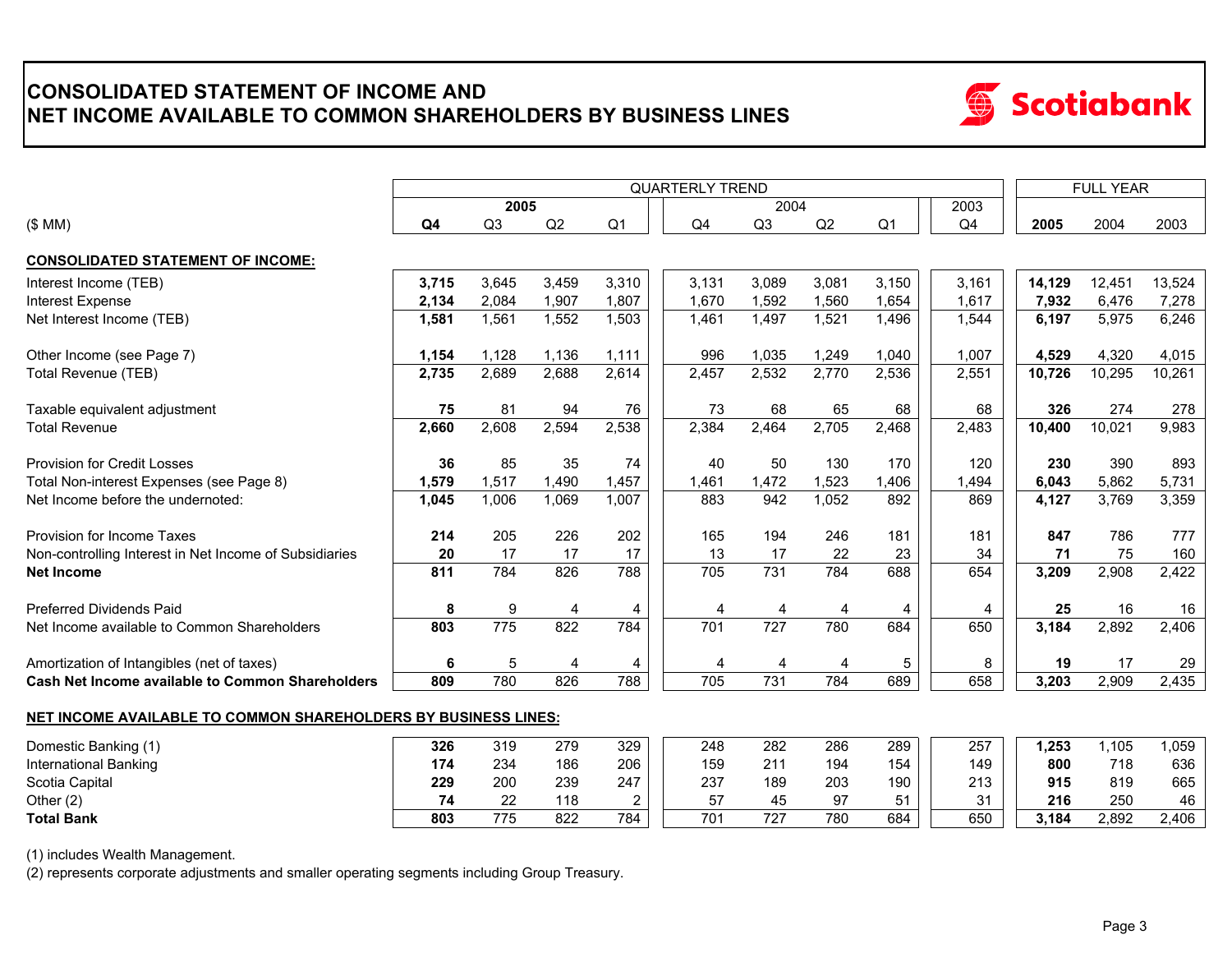## **CONSOLIDATED STATEMENT OF INCOME AND NET INCOME AVAILABLE TO COMMON SHAREHOLDERS BY BUSINESS LINES**



|                                                                       |       |       |       |                | <b>FULL YEAR</b> |                  |       |                |       |        |        |        |
|-----------------------------------------------------------------------|-------|-------|-------|----------------|------------------|------------------|-------|----------------|-------|--------|--------|--------|
|                                                                       |       | 2005  |       |                |                  | 2004             |       |                | 2003  |        |        |        |
| (\$MM)                                                                | Q4    | Q3    | Q2    | Q <sub>1</sub> | Q4               | Q <sub>3</sub>   | Q2    | Q <sub>1</sub> | Q4    | 2005   | 2004   | 2003   |
| <b>CONSOLIDATED STATEMENT OF INCOME:</b>                              |       |       |       |                |                  |                  |       |                |       |        |        |        |
| Interest Income (TEB)                                                 | 3,715 | 3.645 | 3,459 | 3,310          | 3,131            | 3,089            | 3,081 | 3,150          | 3.161 | 14,129 | 12,451 | 13,524 |
| Interest Expense                                                      | 2,134 | 2,084 | 1,907 | 1,807          | 1.670            | 1,592            | 1,560 | 1,654          | 1,617 | 7,932  | 6,476  | 7,278  |
| Net Interest Income (TEB)                                             | 1,581 | 1,561 | 1,552 | 1,503          | 1,461            | 1,497            | 1,521 | 1,496          | 1,544 | 6,197  | 5,975  | 6,246  |
| Other Income (see Page 7)                                             | 1,154 | 1,128 | 1,136 | 1,111          | 996              | 1,035            | 1,249 | 1,040          | 1,007 | 4,529  | 4,320  | 4,015  |
| Total Revenue (TEB)                                                   | 2,735 | 2,689 | 2,688 | 2,614          | 2,457            | 2,532            | 2,770 | 2,536          | 2,551 | 10,726 | 10,295 | 10,261 |
| Taxable equivalent adjustment                                         | 75    | 81    | 94    | 76             | 73               | 68               | 65    | 68             | 68    | 326    | 274    | 278    |
| <b>Total Revenue</b>                                                  | 2,660 | 2,608 | 2,594 | 2,538          | 2,384            | 2,464            | 2,705 | 2,468          | 2,483 | 10,400 | 10,021 | 9,983  |
| <b>Provision for Credit Losses</b>                                    | 36    | 85    | 35    | 74             | 40               | 50               | 130   | 170            | 120   | 230    | 390    | 893    |
| Total Non-interest Expenses (see Page 8)                              | 1,579 | 1,517 | 1,490 | 1,457          | 1,461            | 1,472            | 1,523 | 1,406          | ,494  | 6,043  | 5,862  | 5,731  |
| Net Income before the undernoted:                                     | 1,045 | 1,006 | 1,069 | 1,007          | 883              | 942              | 1,052 | 892            | 869   | 4,127  | 3,769  | 3,359  |
| Provision for Income Taxes                                            | 214   | 205   | 226   | 202            | 165              | 194              | 246   | 181            | 181   | 847    | 786    | 777    |
| Non-controlling Interest in Net Income of Subsidiaries                | 20    | 17    | 17    | 17             | 13               | 17               | 22    | 23             | 34    | 71     | 75     | 160    |
| <b>Net Income</b>                                                     | 811   | 784   | 826   | 788            | 705              | 731              | 784   | 688            | 654   | 3,209  | 2,908  | 2,422  |
| <b>Preferred Dividends Paid</b>                                       | 8     | 9     | 4     | 4              | 4                | 4                | 4     | 4              | 4     | 25     | 16     | 16     |
| Net Income available to Common Shareholders                           | 803   | 775   | 822   | 784            | 701              | $\overline{727}$ | 780   | 684            | 650   | 3,184  | 2,892  | 2,406  |
| Amortization of Intangibles (net of taxes)                            | 6     | 5     | 4     | 4              | 4                | 4                | 4     | 5              | 8     | 19     | 17     | 29     |
| Cash Net Income available to Common Shareholders                      | 809   | 780   | 826   | 788            | 705              | 731              | 784   | 689            | 658   | 3,203  | 2,909  | 2,435  |
|                                                                       |       |       |       |                |                  |                  |       |                |       |        |        |        |
| <b>NET INCOME AVAILABLE TO COMMON SHAREHOLDERS BY BUSINESS LINES:</b> |       |       |       |                |                  |                  |       |                |       |        |        |        |
| Domestic Banking (1)                                                  | 326   | 319   | 279   | 329            | 248              | 282              | 286   | 289            | 257   | 1,253  | 1,105  | 1,059  |
| International Banking                                                 | 174   | 234   | 186   | 206            | 159              | 211              | 194   | 154            | 149   | 800    | 718    | 636    |

Scotia Capital **229** 200 239 247 237 189 203 190 213 **915** 665 819 Other (2) **74** 22 118 2 57 45 97 51 31 **216** 46 250 **Total Bank** 803 775 822

(1) includes Wealth Management.

(2) represents corporate adjustments and smaller operating segments including Group Treasury.

775 822 784 | | 701 727 780 684 | | 650 | | **3,184** 2,892 2,406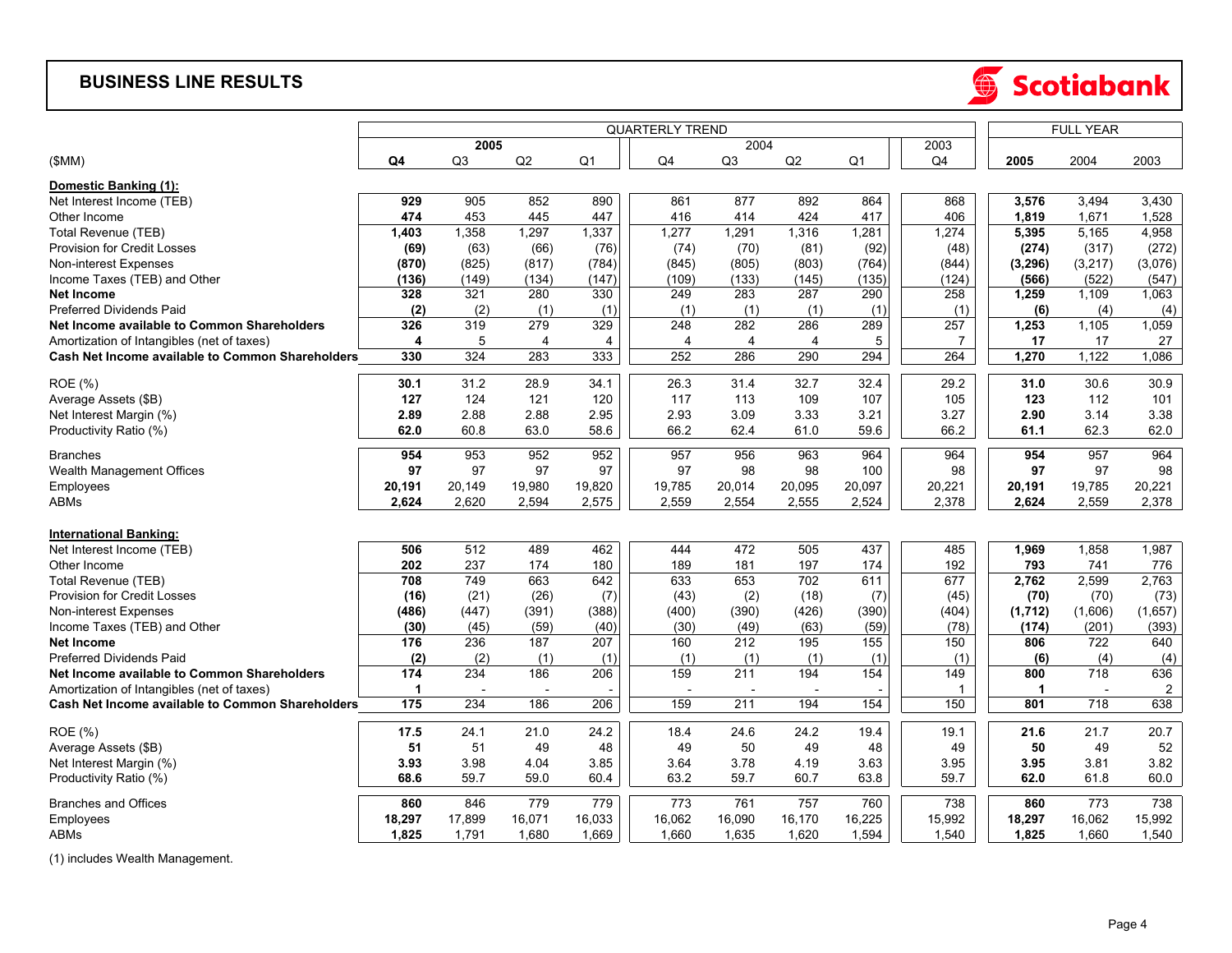#### **BUSINESS LINE RESULTS**



|                                                  |                                                                    |        |                | <b>FULL YEAR</b> |                |                |        |                |        |              |         |                |
|--------------------------------------------------|--------------------------------------------------------------------|--------|----------------|------------------|----------------|----------------|--------|----------------|--------|--------------|---------|----------------|
|                                                  | <b>QUARTERLY TREND</b><br>2005<br>Q3<br>Q2<br>Q <sub>1</sub><br>Q4 |        |                |                  | 2004           |                |        | 2003           |        |              |         |                |
| (SMM)                                            |                                                                    |        |                |                  | Q <sub>4</sub> | Q <sub>3</sub> | Q2     | Q <sub>1</sub> | Q4     | 2005         | 2004    | 2003           |
| Domestic Banking (1):                            |                                                                    |        |                |                  |                |                |        |                |        |              |         |                |
| Net Interest Income (TEB)                        | 929                                                                | 905    | 852            | 890              | 861            | 877            | 892    | 864            | 868    | 3,576        | 3,494   | 3,430          |
| Other Income                                     | 474                                                                | 453    | 445            | 447              | 416            | 414            | 424    | 417            | 406    | 1,819        | 1,671   | 1,528          |
| <b>Total Revenue (TEB)</b>                       | 1,403                                                              | 1,358  | 1,297          | 1,337            | 1,277          | 1,291          | 1,316  | 1,281          | 1,274  | 5,395        | 5,165   | 4,958          |
| <b>Provision for Credit Losses</b>               | (69)                                                               | (63)   | (66)           | (76)             | (74)           | (70)           | (81)   | (92)           | (48)   | (274)        | (317)   | (272)          |
| Non-interest Expenses                            | (870)                                                              | (825)  | (817)          | (784)            | (845)          | (805)          | (803)  | (764)          | (844)  | (3,296)      | (3,217) | (3,076)        |
| Income Taxes (TEB) and Other                     | (136)                                                              | (149)  | (134)          | (147)            | (109)          | (133)          | (145)  | (135)          | (124)  | (566)        | (522)   | (547)          |
| <b>Net Income</b>                                | 328                                                                | 321    | 280            | 330              | 249            | 283            | 287    | 290            | 258    | 1,259        | 1,109   | 1,063          |
| Preferred Dividends Paid                         | (2)                                                                | (2)    | (1)            | (1)              | (1)            | (1)            | (1)    | (1)            | (1)    | (6)          | (4)     | (4)            |
| Net Income available to Common Shareholders      | 326                                                                | 319    | 279            | 329              | 248            | 282            | 286    | 289            | 257    | 1,253        | 1,105   | 1,059          |
| Amortization of Intangibles (net of taxes)       | 4                                                                  | 5      | $\overline{4}$ | 4                | $\overline{4}$ | $\overline{4}$ | 4      | 5              | 7      | 17           | 17      | 27             |
| Cash Net Income available to Common Shareholders | 330                                                                | 324    | 283            | 333              | 252            | 286            | 290    | 294            | 264    | 1,270        | 1,122   | 1,086          |
| <b>ROE</b> (%)                                   | 30.1                                                               | 31.2   | 28.9           | 34.1             | 26.3           | 31.4           | 32.7   | 32.4           | 29.2   | 31.0         | 30.6    | 30.9           |
| Average Assets (\$B)                             | 127                                                                | 124    | 121            | 120              | 117            | 113            | 109    | 107            | 105    | 123          | 112     | 101            |
| Net Interest Margin (%)                          | 2.89                                                               | 2.88   | 2.88           | 2.95             | 2.93           | 3.09           | 3.33   | 3.21           | 3.27   | 2.90         | 3.14    | 3.38           |
| Productivity Ratio (%)                           | 62.0                                                               | 60.8   | 63.0           | 58.6             | 66.2           | 62.4           | 61.0   | 59.6           | 66.2   | 61.1         | 62.3    | 62.0           |
| <b>Branches</b>                                  | 954                                                                | 953    | 952            | 952              | 957            | 956            | 963    | 964            | 964    | 954          | 957     | 964            |
| Wealth Management Offices                        | 97                                                                 | 97     | 97             | 97               | 97             | 98             | 98     | 100            | 98     | 97           | 97      | 98             |
| Employees                                        | 20,191                                                             | 20,149 | 19,980         | 19,820           | 19,785         | 20,014         | 20,095 | 20,097         | 20,221 | 20,191       | 19,785  | 20,221         |
| ABMs                                             | 2,624                                                              | 2,620  | 2,594          | 2,575            | 2,559          | 2,554          | 2,555  | 2,524          | 2,378  | 2,624        | 2,559   | 2,378          |
|                                                  |                                                                    |        |                |                  |                |                |        |                |        |              |         |                |
| <b>International Banking:</b>                    |                                                                    |        |                |                  |                |                |        |                |        |              |         |                |
| Net Interest Income (TEB)                        | 506                                                                | 512    | 489            | 462              | 444            | 472            | 505    | 437            | 485    | 1,969        | 1,858   | 1,987          |
| Other Income                                     | 202                                                                | 237    | 174            | 180              | 189            | 181            | 197    | 174            | 192    | 793          | 741     | 776            |
| Total Revenue (TEB)                              | 708                                                                | 749    | 663            | 642              | 633            | 653            | 702    | 611            | 677    | 2,762        | 2,599   | 2,763          |
| Provision for Credit Losses                      | (16)                                                               | (21)   | (26)           | (7)              | (43)           | (2)            | (18)   | (7)            | (45)   | (70)         | (70)    | (73)           |
| Non-interest Expenses                            | (486)                                                              | (447)  | (391)          | (388)            | (400)          | (390)          | (426)  | (390)          | (404)  | (1,712)      | (1,606) | (1,657)        |
| Income Taxes (TEB) and Other                     | (30)                                                               | (45)   | (59)           | (40)             | (30)           | (49)           | (63)   | (59)           | (78)   | (174)        | (201)   | (393)          |
| <b>Net Income</b>                                | 176                                                                | 236    | 187            | 207              | 160            | 212            | 195    | 155            | 150    | 806          | 722     | 640            |
| <b>Preferred Dividends Paid</b>                  | (2)                                                                | (2)    | (1)            | (1)              | (1)            | (1)            | (1)    | (1)            | (1)    | (6)          | (4)     | (4)            |
| Net Income available to Common Shareholders      | 174                                                                | 234    | 186            | 206              | 159            | 211            | 194    | 154            | 149    | 800          | 718     | 636            |
| Amortization of Intangibles (net of taxes)       | $\mathbf{1}$                                                       |        |                |                  |                |                |        |                | 1      | $\mathbf{1}$ |         | $\overline{2}$ |
| Cash Net Income available to Common Shareholders | $\frac{1}{175}$                                                    | 234    | 186            | 206              | 159            | 211            | 194    | 154            | 150    | 801          | 718     | 638            |
| ROE (%)                                          | 17.5                                                               | 24.1   | 21.0           | 24.2             | 18.4           | 24.6           | 24.2   | 19.4           | 19.1   | 21.6         | 21.7    | 20.7           |
| Average Assets (\$B)                             | 51                                                                 | 51     | 49             | 48               | 49             | 50             | 49     | 48             | 49     | 50           | 49      | 52             |
| Net Interest Margin (%)                          | 3.93                                                               | 3.98   | 4.04           | 3.85             | 3.64           | 3.78           | 4.19   | 3.63           | 3.95   | 3.95         | 3.81    | 3.82           |
| Productivity Ratio (%)                           | 68.6                                                               | 59.7   | 59.0           | 60.4             | 63.2           | 59.7           | 60.7   | 63.8           | 59.7   | 62.0         | 61.8    | 60.0           |
| <b>Branches and Offices</b>                      | 860                                                                | 846    | 779            | 779              | 773            | 761            | 757    | 760            | 738    | 860          | 773     | 738            |
| Employees                                        | 18,297                                                             | 17,899 | 16,071         | 16,033           | 16,062         | 16,090         | 16,170 | 16,225         | 15,992 | 18,297       | 16,062  | 15,992         |
| <b>ABMs</b>                                      | 1,825                                                              | 1,791  | 1,680          | 1,669            | 1,660          | 1,635          | 1,620  | 1,594          | 1,540  | 1,825        | 1,660   | 1,540          |

(1) includes Wealth Management.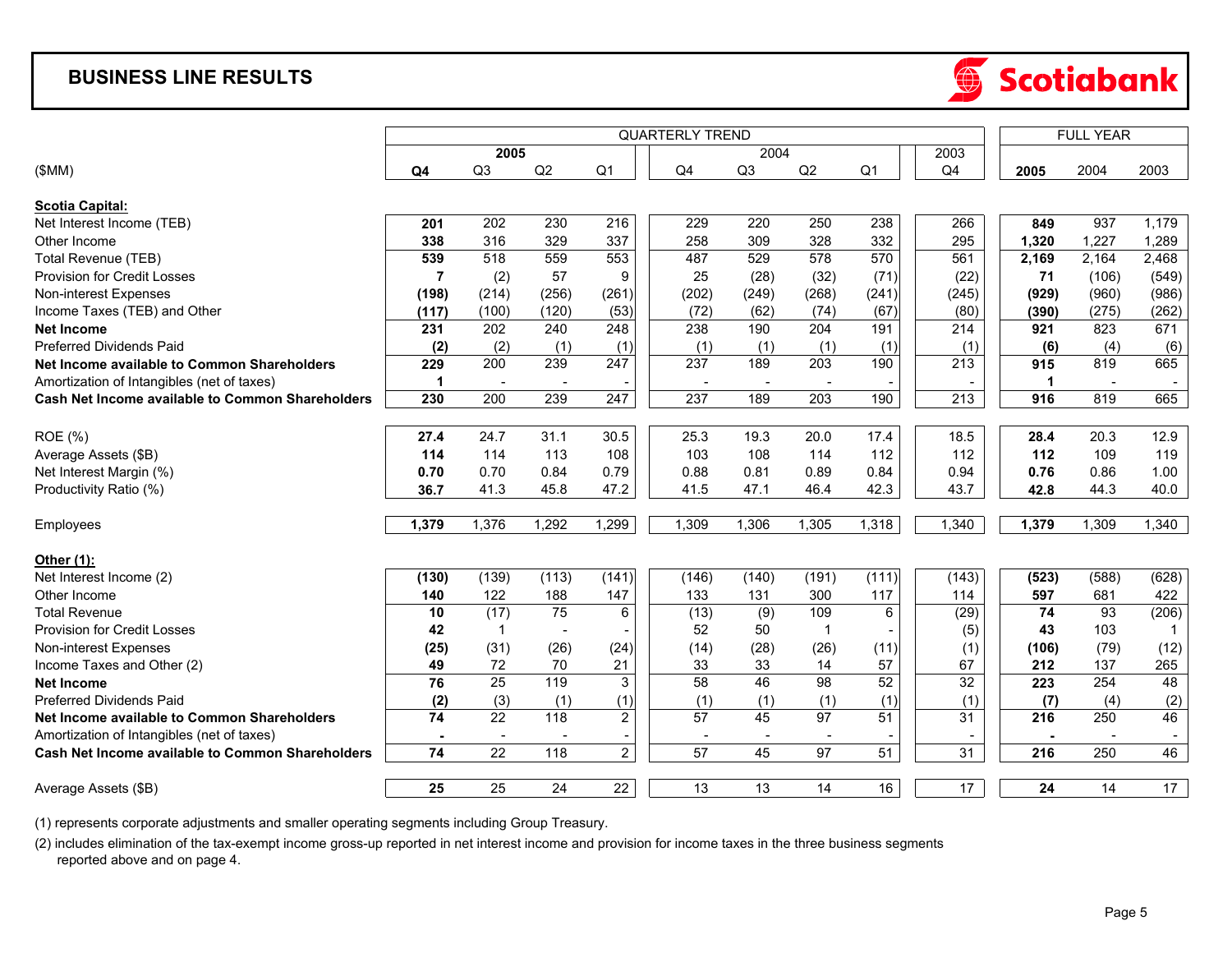## **BUSINESS LINE RESULTS**



|                                                         |                 |                          |                | <b>FULL YEAR</b> |                 |                |                 |                 |                  |                 |       |       |
|---------------------------------------------------------|-----------------|--------------------------|----------------|------------------|-----------------|----------------|-----------------|-----------------|------------------|-----------------|-------|-------|
|                                                         |                 | 2005                     |                |                  |                 | 2004           |                 |                 | 2003             |                 |       |       |
| (SMM)                                                   | Q4              | Q3                       | Q2             | Q <sub>1</sub>   | Q4              | Q <sub>3</sub> | Q2              | Q <sub>1</sub>  | Q4               | 2005            | 2004  | 2003  |
|                                                         |                 |                          |                |                  |                 |                |                 |                 |                  |                 |       |       |
| <b>Scotia Capital:</b>                                  |                 |                          |                |                  |                 |                |                 |                 |                  |                 |       |       |
| Net Interest Income (TEB)                               | 201             | 202                      | 230            | 216              | 229             | 220            | 250             | 238             | 266              | 849             | 937   | 1,179 |
| Other Income                                            | 338             | 316                      | 329            | 337              | 258             | 309            | 328             | 332             | 295              | 1,320           | 1,227 | 1,289 |
| Total Revenue (TEB)                                     | 539             | 518                      | 559            | 553              | 487             | 529            | 578             | 570             | 561              | 2,169           | 2,164 | 2,468 |
| <b>Provision for Credit Losses</b>                      | $\overline{7}$  | (2)                      | 57             | 9                | 25              | (28)           | (32)            | (71)            | (22)             | 71              | (106) | (549) |
| Non-interest Expenses                                   | (198)           | (214)                    | (256)          | (261)            | (202)           | (249)          | (268)           | (241)           | (245)            | (929)           | (960) | (986) |
| Income Taxes (TEB) and Other                            | (117)           | (100)                    | (120)          | (53)             | (72)            | (62)           | (74)            | (67)            | (80)             | (390)           | (275) | (262) |
| <b>Net Income</b>                                       | 231             | 202                      | 240            | $\overline{248}$ | 238             | 190            | 204             | 191             | $\overline{214}$ | 921             | 823   | 671   |
| <b>Preferred Dividends Paid</b>                         | (2)             | (2)                      | (1)            | (1)              | (1)             | (1)            | (1)             | (1)             | (1)              | (6)             | (4)   | (6)   |
| Net Income available to Common Shareholders             | 229             | 200                      | 239            | 247              | 237             | 189            | 203             | 190             | 213              | 915             | 819   | 665   |
| Amortization of Intangibles (net of taxes)              | 1               |                          |                |                  |                 |                |                 |                 |                  | $\mathbf 1$     |       |       |
| <b>Cash Net Income available to Common Shareholders</b> | 230             | 200                      | 239            | $\overline{247}$ | 237             | 189            | 203             | 190             | $\overline{213}$ | 916             | 819   | 665   |
|                                                         |                 |                          |                |                  |                 |                |                 |                 |                  |                 |       |       |
| <b>ROE</b> (%)                                          | 27.4            | 24.7                     | 31.1           | 30.5             | 25.3            | 19.3           | 20.0            | 17.4            | 18.5             | 28.4            | 20.3  | 12.9  |
| Average Assets (\$B)                                    | 114             | 114                      | 113            | 108              | 103             | 108            | 114             | 112             | 112              | 112             | 109   | 119   |
| Net Interest Margin (%)                                 | 0.70            | 0.70                     | 0.84           | 0.79             | 0.88            | 0.81           | 0.89            | 0.84            | 0.94             | 0.76            | 0.86  | 1.00  |
| Productivity Ratio (%)                                  | 36.7            | 41.3                     | 45.8           | 47.2             | 41.5            | 47.1           | 46.4            | 42.3            | 43.7             | 42.8            | 44.3  | 40.0  |
|                                                         |                 |                          |                |                  |                 |                |                 |                 |                  |                 |       |       |
| Employees                                               | 1,379           | 1,376                    | 1.292          | 1,299            | 1,309           | 1,306          | 1,305           | 1,318           | 1,340            | 1,379           | 1.309 | 1,340 |
| Other $(1)$ :                                           |                 |                          |                |                  |                 |                |                 |                 |                  |                 |       |       |
| Net Interest Income (2)                                 | (130)           | (139)                    | (113)          | (141)            | (146)           | (140)          | (191)           | (111)           | (143)            | (523)           | (588) | (628) |
| Other Income                                            | 140             | 122                      | 188            | 147              | 133             | 131            | 300             | 117             | 114              | 597             | 681   | 422   |
| <b>Total Revenue</b>                                    | 10              | (17)                     | 75             | $\,6$            | (13)            | (9)            | 109             | $6\phantom{1}6$ | (29)             | $\overline{74}$ | 93    | (206) |
| <b>Provision for Credit Losses</b>                      | 42              | $\mathbf 1$              | $\blacksquare$ |                  | 52              | 50             | $\mathbf 1$     |                 | (5)              | 43              | 103   | -1    |
| Non-interest Expenses                                   | (25)            | (31)                     | (26)           | (24)             | (14)            | (28)           | (26)            | (11)            | (1)              | (106)           | (79)  | (12)  |
| Income Taxes and Other (2)                              | 49              | 72                       | 70             | 21               | 33              | 33             | 14              | 57              | 67               | 212             | 137   | 265   |
| <b>Net Income</b>                                       | 76              | $\overline{25}$          | 119            | 3                | 58              | 46             | 98              | $\overline{52}$ | 32               | 223             | 254   | 48    |
| Preferred Dividends Paid                                | (2)             | (3)                      | (1)            | (1)              | (1)             | (1)            | (1)             | (1)             | (1)              | (7)             | (4)   | (2)   |
| Net Income available to Common Shareholders             | 74              | $\overline{22}$          | 118            | $\overline{2}$   | 57              | 45             | 97              | 51              | 31               | 216             | 250   | 46    |
| Amortization of Intangibles (net of taxes)              |                 | $\overline{\phantom{a}}$ |                |                  |                 |                |                 |                 | $\qquad \qquad$  |                 |       |       |
| <b>Cash Net Income available to Common Shareholders</b> | $\overline{74}$ | $\overline{22}$          | 118            | $\overline{2}$   | $\overline{57}$ | 45             | $\overline{97}$ | $\overline{51}$ | $\overline{31}$  | 216             | 250   | 46    |
|                                                         |                 |                          |                |                  |                 |                |                 |                 |                  |                 |       |       |
| Average Assets (\$B)                                    | 25              | 25                       | 24             | $\overline{22}$  | 13              | 13             | 14              | 16              | 17               | 24              | 14    | 17    |

(1) represents corporate adjustments and smaller operating segments including Group Treasury.

(2) includes elimination of the tax-exempt income gross-up reported in net interest income and provision for income taxes in the three business segments reported above and on page 4.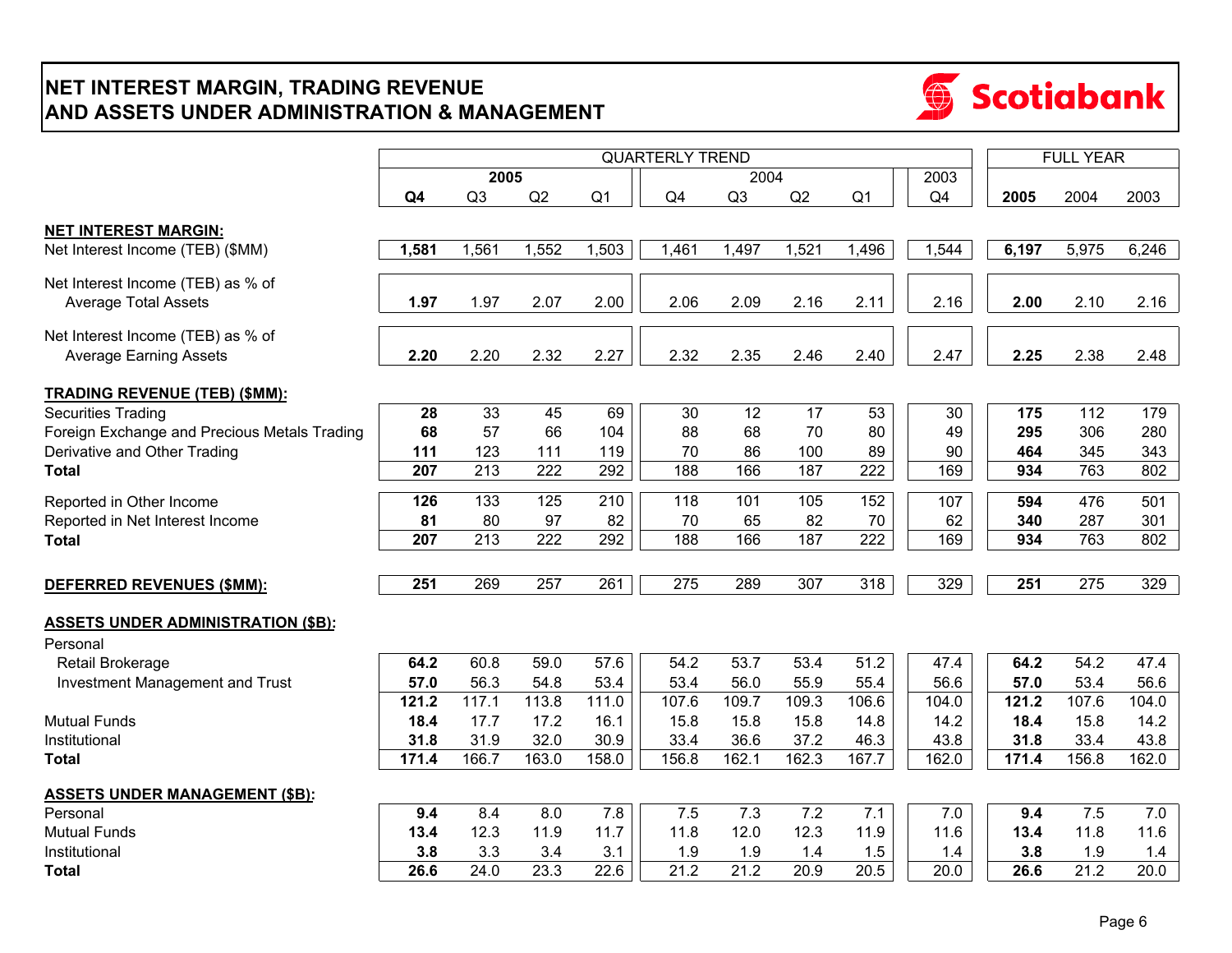## **NET INTEREST MARGIN, TRADING REVENUE AND ASSETS UNDER ADMINISTRATION & MANAGEMENT**



|                                              |                  |                  |                  |                |                        | <b>FULL YEAR</b> |       |                   |       |       |       |                  |
|----------------------------------------------|------------------|------------------|------------------|----------------|------------------------|------------------|-------|-------------------|-------|-------|-------|------------------|
|                                              |                  | 2005             |                  |                | <b>QUARTERLY TREND</b> | 2004             |       |                   | 2003  |       |       |                  |
|                                              | Q <sub>4</sub>   | Q3               | Q2               | Q <sub>1</sub> | Q4                     | Q <sub>3</sub>   | Q2    | Q <sub>1</sub>    | Q4    | 2005  | 2004  | 2003             |
|                                              |                  |                  |                  |                |                        |                  |       |                   |       |       |       |                  |
| <b>NET INTEREST MARGIN:</b>                  |                  |                  |                  |                |                        |                  |       |                   |       |       |       |                  |
| Net Interest Income (TEB) (\$MM)             | 1,581            | 1,561            | 1,552            | 1,503          | 1,461                  | 1,497            | 1,521 | 1,496             | 1,544 | 6,197 | 5,975 | 6,246            |
| Net Interest Income (TEB) as % of            |                  |                  |                  |                |                        |                  |       |                   |       |       |       |                  |
| <b>Average Total Assets</b>                  | 1.97             | 1.97             | 2.07             | 2.00           | 2.06                   | 2.09             | 2.16  | 2.11              | 2.16  | 2.00  | 2.10  | 2.16             |
| Net Interest Income (TEB) as % of            |                  |                  |                  |                |                        |                  |       |                   |       |       |       |                  |
| <b>Average Earning Assets</b>                | 2.20             | 2.20             | 2.32             | 2.27           | 2.32                   | 2.35             | 2.46  | 2.40              | 2.47  | 2.25  | 2.38  | 2.48             |
|                                              |                  |                  |                  |                |                        |                  |       |                   |       |       |       |                  |
| <b>TRADING REVENUE (TEB) (\$MM):</b>         |                  |                  |                  |                |                        |                  |       |                   |       |       |       |                  |
| <b>Securities Trading</b>                    | 28               | 33               | 45               | 69             | 30                     | 12               | 17    | 53                | 30    | 175   | 112   | 179              |
| Foreign Exchange and Precious Metals Trading | 68               | 57               | 66               | 104            | 88                     | 68               | 70    | 80                | 49    | 295   | 306   | 280              |
| Derivative and Other Trading                 | 111              | 123              | 111              | 119            | 70                     | 86               | 100   | 89                | 90    | 464   | 345   | 343              |
| <b>Total</b>                                 | 207              | 213              | 222              | 292            | 188                    | 166              | 187   | 222               | 169   | 934   | 763   | 802              |
| Reported in Other Income                     | 126              | 133              | 125              | 210            | 118                    | 101              | 105   | 152               | 107   | 594   | 476   | 501              |
| Reported in Net Interest Income              | 81               | 80               | 97               | 82             | 70                     | 65               | 82    | 70                | 62    | 340   | 287   | 301              |
| <b>Total</b>                                 | $\overline{207}$ | $\overline{213}$ | $\overline{222}$ | 292            | 188                    | 166              | 187   | $\overline{222}$  | 169   | 934   | 763   | 802              |
|                                              |                  |                  |                  |                |                        |                  |       |                   |       |       |       |                  |
| DEFERRED REVENUES (\$MM):                    | 251              | 269              | 257              | 261            | 275                    | 289              | 307   | 318               | 329   | 251   | 275   | $\overline{3}29$ |
| <b>ASSETS UNDER ADMINISTRATION (\$B):</b>    |                  |                  |                  |                |                        |                  |       |                   |       |       |       |                  |
| Personal                                     |                  |                  |                  |                |                        |                  |       |                   |       |       |       |                  |
| Retail Brokerage                             | 64.2             | 60.8             | 59.0             | 57.6           | 54.2                   | 53.7             | 53.4  | $51.\overline{2}$ | 47.4  | 64.2  | 54.2  | 47.4             |
| Investment Management and Trust              | 57.0             | 56.3             | 54.8             | 53.4           | 53.4                   | 56.0             | 55.9  | 55.4              | 56.6  | 57.0  | 53.4  | 56.6             |
|                                              | 121.2            | 117.1            | 113.8            | 111.0          | 107.6                  | 109.7            | 109.3 | 106.6             | 104.0 | 121.2 | 107.6 | 104.0            |
| <b>Mutual Funds</b>                          | 18.4             | 17.7             | 17.2             | 16.1           | 15.8                   | 15.8             | 15.8  | 14.8              | 14.2  | 18.4  | 15.8  | 14.2             |
| Institutional                                | 31.8             | 31.9             | 32.0             | 30.9           | 33.4                   | 36.6             | 37.2  | 46.3              | 43.8  | 31.8  | 33.4  | 43.8             |
| Total                                        | 171.4            | 166.7            | 163.0            | 158.0          | 156.8                  | 162.1            | 162.3 | 167.7             | 162.0 | 171.4 | 156.8 | 162.0            |
| <b>ASSETS UNDER MANAGEMENT (\$B):</b>        |                  |                  |                  |                |                        |                  |       |                   |       |       |       |                  |
| Personal                                     | 9.4              | 8.4              | 8.0              | 7.8            | 7.5                    | 7.3              | 7.2   | 7.1               | 7.0   | 9.4   | 7.5   | 7.0              |
| <b>Mutual Funds</b>                          | 13.4             | 12.3             | 11.9             | 11.7           | 11.8                   | 12.0             | 12.3  | 11.9              | 11.6  | 13.4  | 11.8  | 11.6             |
| Institutional                                | 3.8              | 3.3              | 3.4              | 3.1            | 1.9                    | 1.9              | 1.4   | 1.5               | 1.4   | 3.8   | 1.9   | $1.4$            |
| <b>Total</b>                                 | 26.6             | 24.0             | 23.3             | 22.6           | 21.2                   | 21.2             | 20.9  | 20.5              | 20.0  | 26.6  | 21.2  | 20.0             |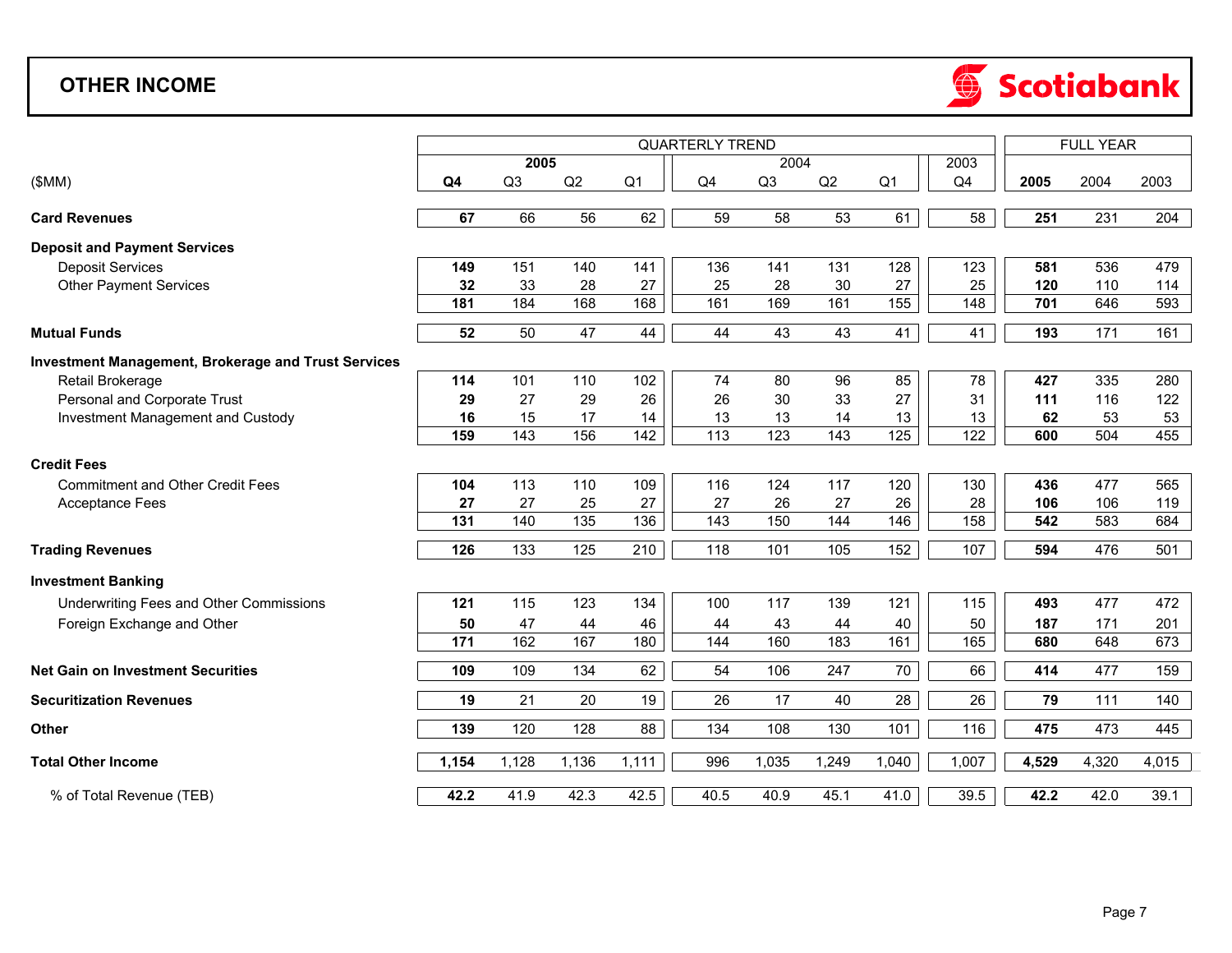## **OTHER INCOME**



|                                                            | <b>QUARTERLY TREND</b> |                |                 |                 |                 |                |       |                 |       |       | <b>FULL YEAR</b> |       |  |
|------------------------------------------------------------|------------------------|----------------|-----------------|-----------------|-----------------|----------------|-------|-----------------|-------|-------|------------------|-------|--|
|                                                            |                        | 2005           |                 |                 |                 | 2004           |       |                 | 2003  |       |                  |       |  |
| (SMM)                                                      | Q <sub>4</sub>         | Q <sub>3</sub> | Q2              | Q <sub>1</sub>  | Q4              | Q <sub>3</sub> | Q2    | Q <sub>1</sub>  | Q4    | 2005  | 2004             | 2003  |  |
|                                                            |                        |                |                 |                 |                 |                |       |                 |       |       |                  |       |  |
| <b>Card Revenues</b>                                       | 67                     | 66             | 56              | 62              | 59              | 58             | 53    | 61              | 58    | 251   | 231              | 204   |  |
| <b>Deposit and Payment Services</b>                        |                        |                |                 |                 |                 |                |       |                 |       |       |                  |       |  |
| <b>Deposit Services</b>                                    | 149                    | 151            | 140             | 141             | 136             | 141            | 131   | 128             | 123   | 581   | 536              | 479   |  |
| <b>Other Payment Services</b>                              | 32                     | 33             | 28              | 27              | 25              | 28             | 30    | 27              | 25    | 120   | 110              | 114   |  |
|                                                            | 181                    | 184            | 168             | 168             | 161             | 169            | 161   | 155             | 148   | 701   | 646              | 593   |  |
| <b>Mutual Funds</b>                                        | 52                     | 50             | 47              | 44              | 44              | 43             | 43    | 41              | 41    | 193   | 171              | 161   |  |
| <b>Investment Management, Brokerage and Trust Services</b> |                        |                |                 |                 |                 |                |       |                 |       |       |                  |       |  |
| Retail Brokerage                                           | 114                    | 101            | 110             | 102             | 74              | 80             | 96    | 85              | 78    | 427   | 335              | 280   |  |
| Personal and Corporate Trust                               | 29                     | 27             | 29              | 26              | 26              | 30             | 33    | 27              | 31    | 111   | 116              | 122   |  |
| Investment Management and Custody                          | 16                     | 15             | 17              | 14              | 13              | 13             | 14    | 13              | 13    | 62    | 53               | 53    |  |
|                                                            | 159                    | 143            | 156             | $\frac{1}{142}$ | $\frac{1}{113}$ | 123            | 143   | $\frac{1}{25}$  | 122   | 600   | 504              | 455   |  |
| <b>Credit Fees</b>                                         |                        |                |                 |                 |                 |                |       |                 |       |       |                  |       |  |
| <b>Commitment and Other Credit Fees</b>                    | 104                    | 113            | 110             | 109             | 116             | 124            | 117   | 120             | 130   | 436   | 477              | 565   |  |
| Acceptance Fees                                            | 27                     | 27             | 25              | 27              | 27              | 26             | 27    | 26              | 28    | 106   | 106              | 119   |  |
|                                                            | 131                    | 140            | $\frac{1}{135}$ | 136             | $\frac{1}{143}$ | 150            | 144   | 146             | 158   | 542   | 583              | 684   |  |
| <b>Trading Revenues</b>                                    | 126                    | 133            | 125             | 210             | 118             | 101            | 105   | 152             | 107   | 594   | 476              | 501   |  |
| <b>Investment Banking</b>                                  |                        |                |                 |                 |                 |                |       |                 |       |       |                  |       |  |
| Underwriting Fees and Other Commissions                    | 121                    | 115            | 123             | 134             | 100             | 117            | 139   | 121             | 115   | 493   | 477              | 472   |  |
| Foreign Exchange and Other                                 | 50                     | 47             | 44              | 46              | 44              | 43             | 44    | 40              | 50    | 187   | 171              | 201   |  |
|                                                            | 171                    | 162            | 167             | 180             | 144             | 160            | 183   | 161             | 165   | 680   | 648              | 673   |  |
| <b>Net Gain on Investment Securities</b>                   | 109                    | 109            | 134             | 62              | 54              | 106            | 247   | 70              | 66    | 414   | 477              | 159   |  |
| <b>Securitization Revenues</b>                             | 19                     | 21             | 20              | 19              | 26              | 17             | 40    | $\overline{28}$ | 26    | 79    | 111              | 140   |  |
| Other                                                      | 139                    | 120            | 128             | $\overline{88}$ | 134             | 108            | 130   | 101             | 116   | 475   | 473              | 445   |  |
| <b>Total Other Income</b>                                  | 1,154                  | 1,128          | 1,136           | 1,111           | 996             | 1,035          | 1,249 | 1,040           | 1,007 | 4,529 | 4,320            | 4,015 |  |
| % of Total Revenue (TEB)                                   | 42.2                   | 41.9           | 42.3            | 42.5            | 40.5            | 40.9           | 45.1  | 41.0            | 39.5  | 42.2  | 42.0             | 39.1  |  |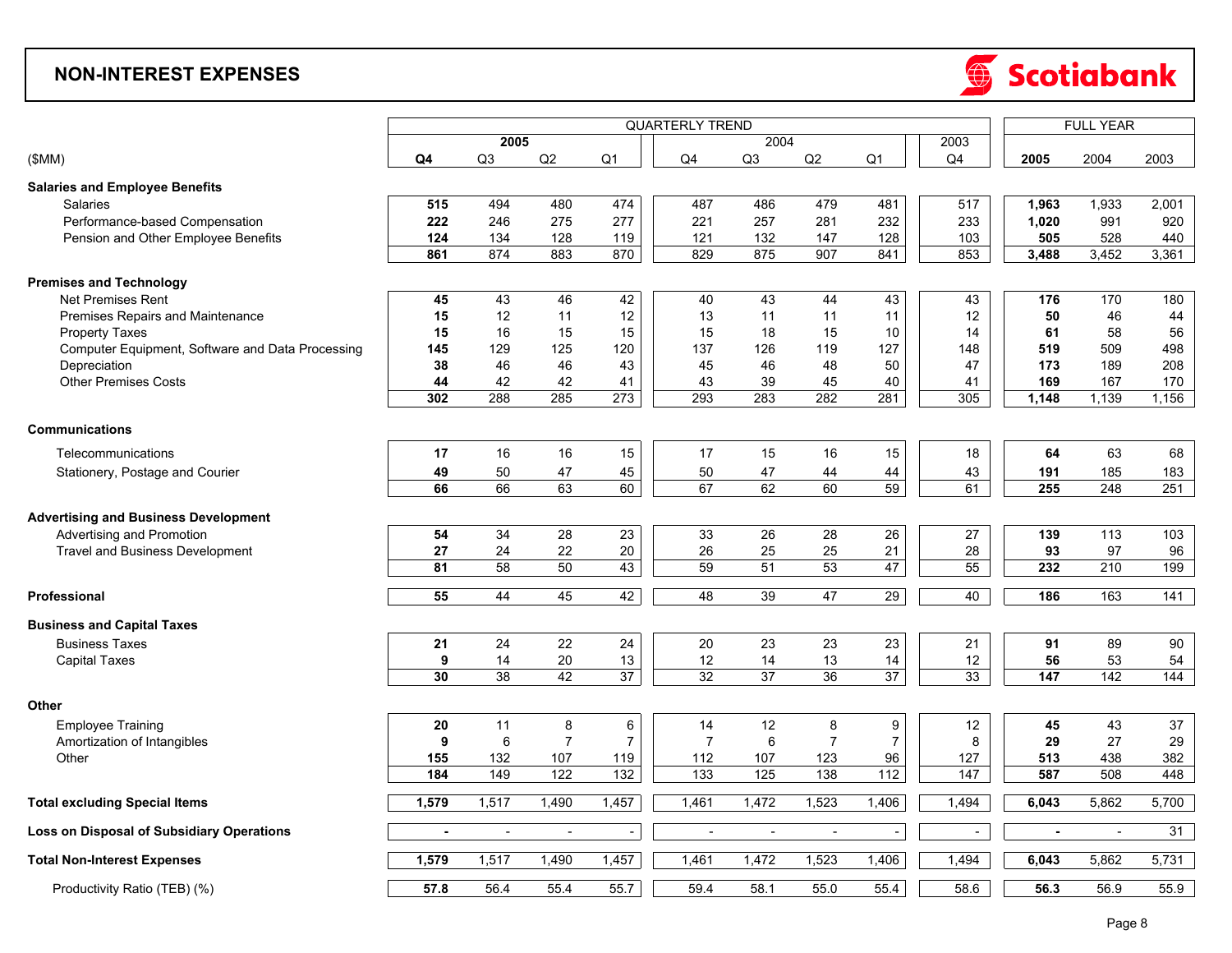### **NON-INTEREST EXPENSES**



|                                                  |                |                          | <b>QUARTERLY TREND</b> |                     |                          |                |                          |                     | <b>FULL YEAR</b>         |                          |                 |       |
|--------------------------------------------------|----------------|--------------------------|------------------------|---------------------|--------------------------|----------------|--------------------------|---------------------|--------------------------|--------------------------|-----------------|-------|
|                                                  |                | 2005                     |                        |                     |                          | 2004           |                          |                     | 2003                     |                          |                 |       |
| (SMM)                                            | Q4             | Q3                       | Q2                     | Q <sub>1</sub>      | Q4                       | Q <sub>3</sub> | Q2                       | Q <sub>1</sub>      | Q4                       | 2005                     | 2004            | 2003  |
| <b>Salaries and Employee Benefits</b>            |                |                          |                        |                     |                          |                |                          |                     |                          |                          |                 |       |
| Salaries                                         | 515            | 494                      | 480                    | 474                 | 487                      | 486            | 479                      | 481                 | 517                      | 1,963                    | 1,933           | 2,001 |
| Performance-based Compensation                   | 222            | 246                      | 275                    | 277                 | 221                      | 257            | 281                      | 232                 | 233                      | 1,020                    | 991             | 920   |
| Pension and Other Employee Benefits              | 124            | 134                      | 128                    | 119                 | 121                      | 132            | 147                      | 128                 | 103                      | 505                      | 528             | 440   |
|                                                  | 861            | 874                      | 883                    | 870                 | 829                      | 875            | 907                      | 841                 | 853                      | 3,488                    | 3,452           | 3,361 |
|                                                  |                |                          |                        |                     |                          |                |                          |                     |                          |                          |                 |       |
| <b>Premises and Technology</b>                   |                |                          |                        |                     |                          |                |                          |                     |                          |                          |                 |       |
| <b>Net Premises Rent</b>                         | 45             | 43                       | 46                     | 42                  | 40                       | 43             | 44                       | 43                  | 43                       | 176                      | 170             | 180   |
| Premises Repairs and Maintenance                 | 15             | 12                       | 11                     | 12                  | 13                       | 11             | 11                       | 11                  | 12                       | 50                       | 46              | 44    |
| <b>Property Taxes</b>                            | 15             | 16                       | 15                     | 15                  | 15                       | 18             | 15                       | 10                  | 14                       | 61                       | 58              | 56    |
| Computer Equipment, Software and Data Processing | 145            | 129                      | 125                    | 120                 | 137                      | 126            | 119                      | 127                 | 148                      | 519                      | 509             | 498   |
| Depreciation                                     | 38             | 46                       | 46                     | 43                  | 45                       | 46             | 48                       | 50                  | 47                       | 173                      | 189             | 208   |
| <b>Other Premises Costs</b>                      | 44             | 42                       | 42                     | 41                  | 43                       | 39             | 45                       | 40                  | 41                       | 169                      | 167             | 170   |
|                                                  | 302            | 288                      | 285                    | $\overline{273}$    | 293                      | 283            | 282                      | 281                 | 305                      | 1,148                    | 1,139           | 1,156 |
| <b>Communications</b>                            |                |                          |                        |                     |                          |                |                          |                     |                          |                          |                 |       |
|                                                  |                |                          |                        | 15                  |                          |                |                          | 15                  |                          |                          |                 |       |
| Telecommunications                               | 17             | 16                       | 16                     |                     | 17                       | 15             | 16                       |                     | 18                       | 64                       | 63              | 68    |
| Stationery, Postage and Courier                  | 49             | 50                       | 47                     | 45                  | 50                       | 47             | 44                       | 44                  | 43                       | 191                      | 185             | 183   |
|                                                  | 66             | 66                       | 63                     | 60                  | 67                       | 62             | 60                       | 59                  | 61                       | 255                      | 248             | 251   |
| <b>Advertising and Business Development</b>      |                |                          |                        |                     |                          |                |                          |                     |                          |                          |                 |       |
| Advertising and Promotion                        | 54             | 34                       | 28                     | 23                  | 33                       | 26             | 28                       | 26                  | 27                       | 139                      | 113             | 103   |
| <b>Travel and Business Development</b>           | 27             | 24                       | 22                     | 20                  | 26                       | 25             | 25                       | 21                  | 28                       | 93                       | 97              | 96    |
|                                                  | 81             | 58                       | 50                     | 43                  | 59                       | 51             | 53                       | 47                  | $\overline{55}$          | 232                      | 210             | 199   |
|                                                  |                |                          |                        |                     |                          |                |                          |                     |                          |                          |                 |       |
| Professional                                     | 55             | 44                       | 45                     | 42                  | 48                       | 39             | 47                       | 29                  | 40                       | 186                      | 163             | 141   |
| <b>Business and Capital Taxes</b>                |                |                          |                        |                     |                          |                |                          |                     |                          |                          |                 |       |
| <b>Business Taxes</b>                            | 21             | 24                       | 22                     | 24                  | 20                       | 23             | 23                       | 23                  | 21                       | 91                       | 89              | 90    |
| <b>Capital Taxes</b>                             | 9              | 14                       | 20                     | 13                  | 12                       | 14             | 13                       | 14                  | 12                       | 56                       | 53              | 54    |
|                                                  | 30             | $\overline{38}$          | 42                     | $\overline{37}$     | $\overline{32}$          | 37             | 36                       | $\overline{37}$     | 33                       | 147                      | $\frac{1}{142}$ | 144   |
| Other                                            |                |                          |                        |                     |                          |                |                          |                     |                          |                          |                 |       |
|                                                  |                | 11                       |                        |                     |                          | 12             |                          |                     | 12                       |                          | 43              | 37    |
| <b>Employee Training</b>                         | 20             |                          | 8<br>$\overline{7}$    | 6<br>$\overline{7}$ | 14                       |                | 8<br>$\overline{7}$      | 9<br>$\overline{7}$ |                          | 45                       |                 |       |
| Amortization of Intangibles                      | 9              | 6                        |                        |                     | $\overline{7}$           | 6              |                          |                     | 8                        | 29                       | 27              | 29    |
| Other                                            | 155            | 132                      | 107                    | 119                 | 112                      | 107            | 123                      | 96                  | 127                      | 513                      | 438             | 382   |
|                                                  | 184            | 149                      | 122                    | $\frac{1}{32}$      | 133                      | 125            | 138                      | 112                 | $\overline{147}$         | 587                      | 508             | 448   |
| <b>Total excluding Special Items</b>             | 1,579          | 1,517                    | 1,490                  | 1,457               | 1,461                    | 1,472          | 1,523                    | 1,406               | 1,494                    | 6,043                    | 5,862           | 5,700 |
| <b>Loss on Disposal of Subsidiary Operations</b> | $\blacksquare$ | $\overline{\phantom{a}}$ | $\blacksquare$         | $\blacksquare$      | $\overline{\phantom{a}}$ | $\blacksquare$ | $\overline{\phantom{a}}$ | $\sim$              | $\overline{\phantom{a}}$ | $\overline{\phantom{a}}$ | $\sim$          | 31    |
|                                                  |                |                          |                        |                     |                          | 1,472          | 1,523                    | 1,406               | 1,494                    |                          | 5,862           | 5,731 |
| <b>Total Non-Interest Expenses</b>               | 1,579          | 1,517                    | 1,490                  | 1,457               | 1,461                    |                |                          |                     |                          | 6,043                    |                 |       |
| Productivity Ratio (TEB) (%)                     | 57.8           | 56.4                     | 55.4                   | 55.7                | 59.4                     | 58.1           | 55.0                     | 55.4                | 58.6                     | 56.3                     | 56.9            | 55.9  |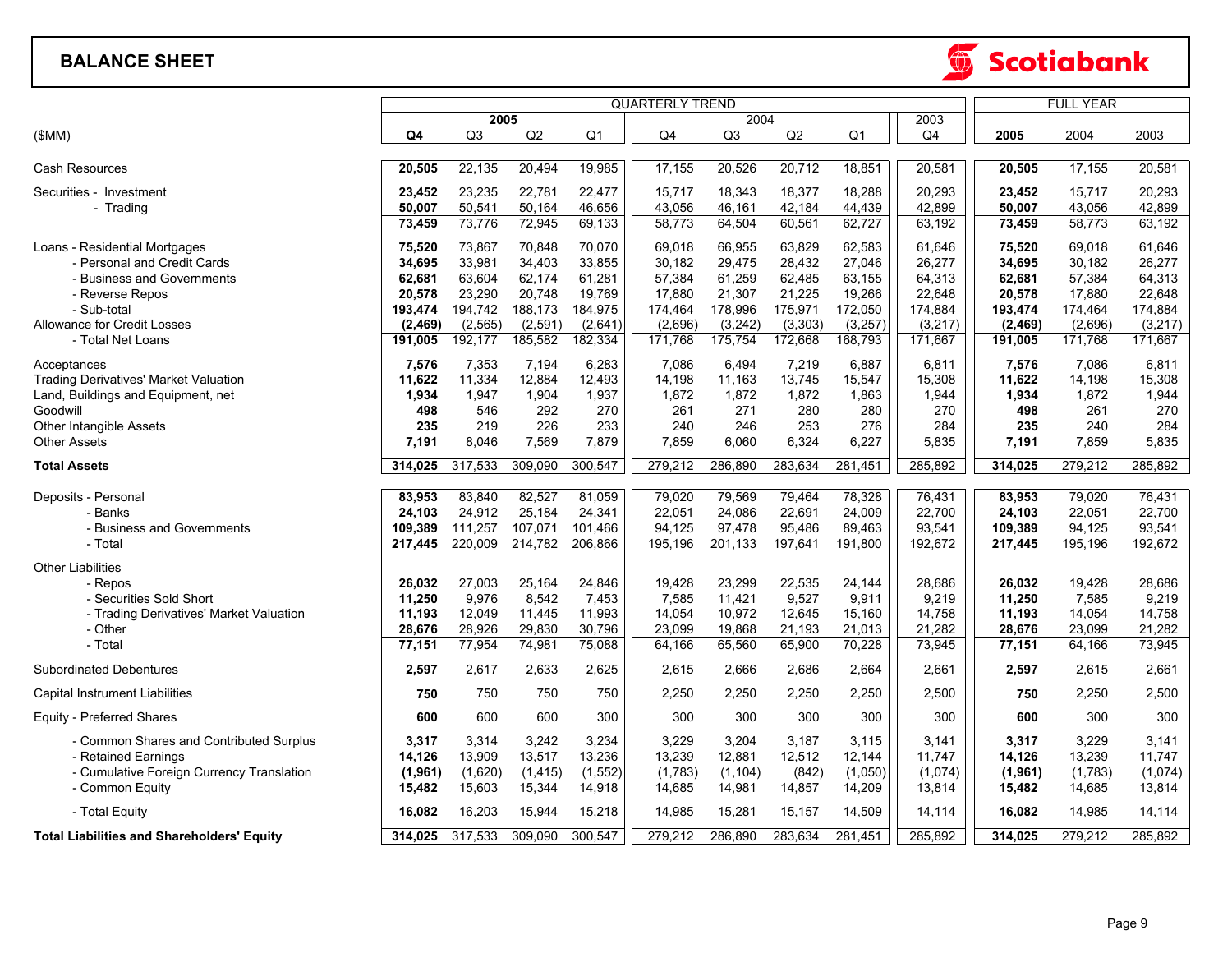#### **BALANCE SHEET**



⊕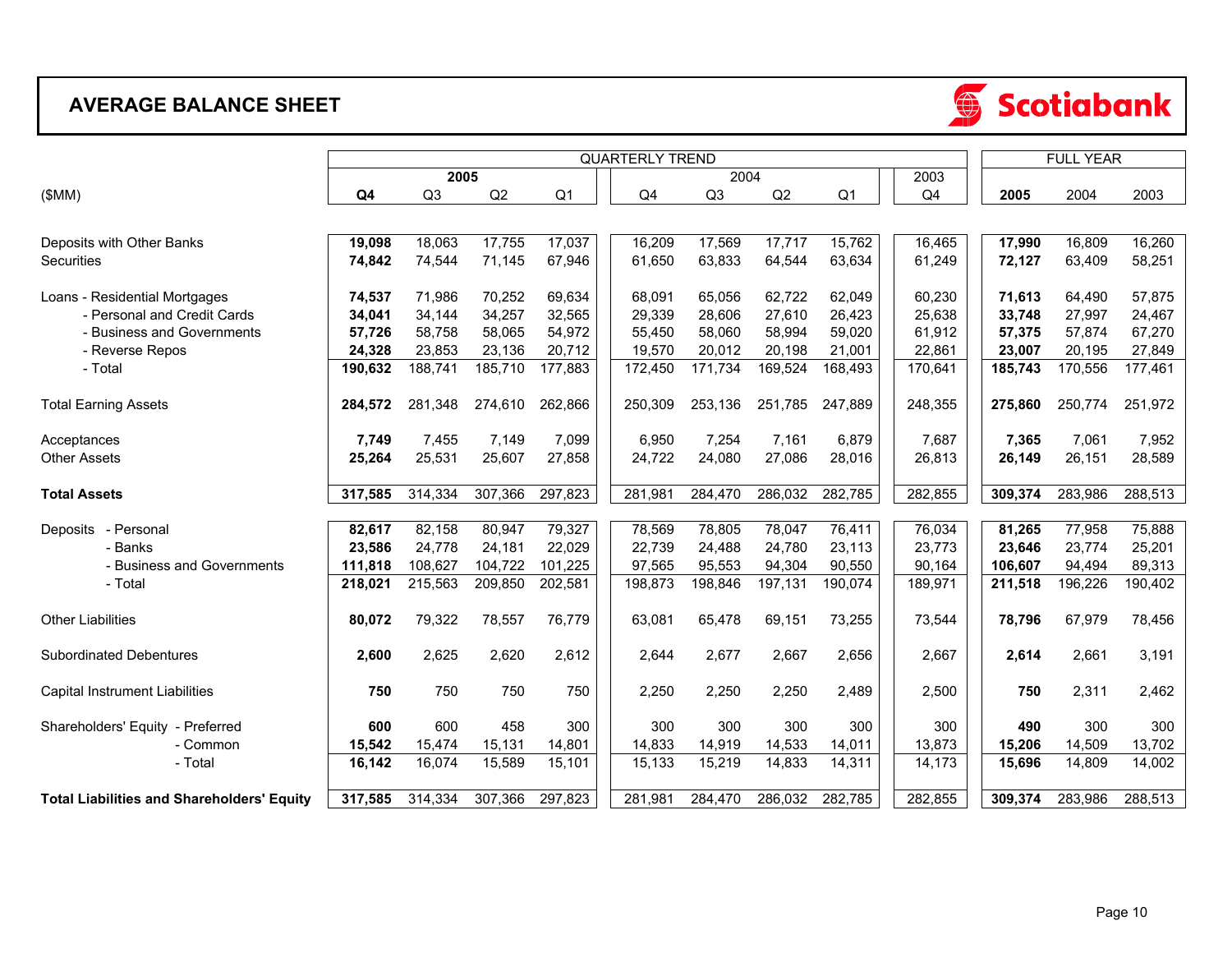## **AVERAGE BALANCE SHEET**

|                                                   |         |         |         |                | <b>FULL YEAR</b>       |         |         |                |                |         |         |         |
|---------------------------------------------------|---------|---------|---------|----------------|------------------------|---------|---------|----------------|----------------|---------|---------|---------|
|                                                   |         | 2005    |         |                | <b>QUARTERLY TREND</b> | 2004    |         |                | 2003           |         |         |         |
| (SMM)                                             | Q4      | Q3      | Q2      | Q <sub>1</sub> | Q4                     | Q3      | Q2      | Q <sub>1</sub> | Q <sub>4</sub> | 2005    | 2004    | 2003    |
|                                                   |         |         |         |                |                        |         |         |                |                |         |         |         |
| Deposits with Other Banks                         | 19,098  | 18,063  | 17,755  | 17,037         | 16,209                 | 17,569  | 17,717  | 15,762         | 16,465         | 17,990  | 16,809  | 16,260  |
| Securities                                        | 74,842  | 74,544  | 71,145  | 67,946         | 61,650                 | 63,833  | 64,544  | 63,634         | 61,249         | 72,127  | 63,409  | 58,251  |
| Loans - Residential Mortgages                     | 74,537  | 71,986  | 70,252  | 69,634         | 68,091                 | 65,056  | 62,722  | 62,049         | 60,230         | 71,613  | 64,490  | 57,875  |
| - Personal and Credit Cards                       | 34,041  | 34,144  | 34,257  | 32,565         | 29,339                 | 28,606  | 27,610  | 26,423         | 25,638         | 33,748  | 27,997  | 24,467  |
| - Business and Governments                        | 57,726  | 58,758  | 58,065  | 54,972         | 55,450                 | 58,060  | 58,994  | 59,020         | 61,912         | 57,375  | 57,874  | 67,270  |
| - Reverse Repos                                   | 24,328  | 23,853  | 23,136  | 20,712         | 19,570                 | 20,012  | 20,198  | 21,001         | 22,861         | 23,007  | 20,195  | 27,849  |
| - Total                                           | 190,632 | 188,741 | 185,710 | 177,883        | 172,450                | 171,734 | 169,524 | 168,493        | 170,641        | 185,743 | 170,556 | 177,461 |
| <b>Total Earning Assets</b>                       | 284.572 | 281,348 | 274,610 | 262,866        | 250,309                | 253,136 | 251,785 | 247,889        | 248,355        | 275,860 | 250,774 | 251,972 |
| Acceptances                                       | 7,749   | 7,455   | 7,149   | 7,099          | 6,950                  | 7,254   | 7,161   | 6,879          | 7,687          | 7,365   | 7,061   | 7,952   |
| <b>Other Assets</b>                               | 25,264  | 25,531  | 25,607  | 27,858         | 24,722                 | 24,080  | 27,086  | 28,016         | 26,813         | 26,149  | 26,151  | 28,589  |
| <b>Total Assets</b>                               | 317,585 | 314,334 | 307,366 | 297,823        | 281,981                | 284,470 | 286,032 | 282,785        | 282,855        | 309,374 | 283,986 | 288,513 |
| Deposits - Personal                               | 82,617  | 82,158  | 80,947  | 79,327         | 78,569                 | 78,805  | 78,047  | 76,411         | 76,034         | 81,265  | 77,958  | 75,888  |
| - Banks                                           | 23,586  | 24,778  | 24,181  | 22,029         | 22,739                 | 24,488  | 24,780  | 23,113         | 23,773         | 23,646  | 23,774  | 25,201  |
| - Business and Governments                        | 111,818 | 108,627 | 104,722 | 101,225        | 97,565                 | 95,553  | 94,304  | 90,550         | 90,164         | 106,607 | 94,494  | 89,313  |
| - Total                                           | 218,021 | 215,563 | 209,850 | 202,581        | 198,873                | 198,846 | 197,131 | 190,074        | 189,971        | 211,518 | 196,226 | 190,402 |
| <b>Other Liabilities</b>                          | 80,072  | 79,322  | 78,557  | 76,779         | 63,081                 | 65,478  | 69,151  | 73,255         | 73,544         | 78,796  | 67,979  | 78,456  |
| <b>Subordinated Debentures</b>                    | 2,600   | 2,625   | 2,620   | 2,612          | 2,644                  | 2,677   | 2,667   | 2,656          | 2,667          | 2,614   | 2,661   | 3,191   |
| Capital Instrument Liabilities                    | 750     | 750     | 750     | 750            | 2,250                  | 2,250   | 2,250   | 2,489          | 2,500          | 750     | 2,311   | 2,462   |
| Shareholders' Equity - Preferred                  | 600     | 600     | 458     | 300            | 300                    | 300     | 300     | 300            | 300            | 490     | 300     | 300     |
| - Common                                          | 15,542  | 15,474  | 15,131  | 14,801         | 14,833                 | 14,919  | 14,533  | 14,011         | 13,873         | 15,206  | 14,509  | 13,702  |
| - Total                                           | 16,142  | 16,074  | 15,589  | 15,101         | 15,133                 | 15,219  | 14,833  | 14,311         | 14,173         | 15,696  | 14,809  | 14,002  |
| <b>Total Liabilities and Shareholders' Equity</b> | 317,585 | 314,334 | 307,366 | 297,823        | 281,981                | 284,470 | 286,032 | 282,785        | 282,855        | 309,374 | 283,986 | 288,513 |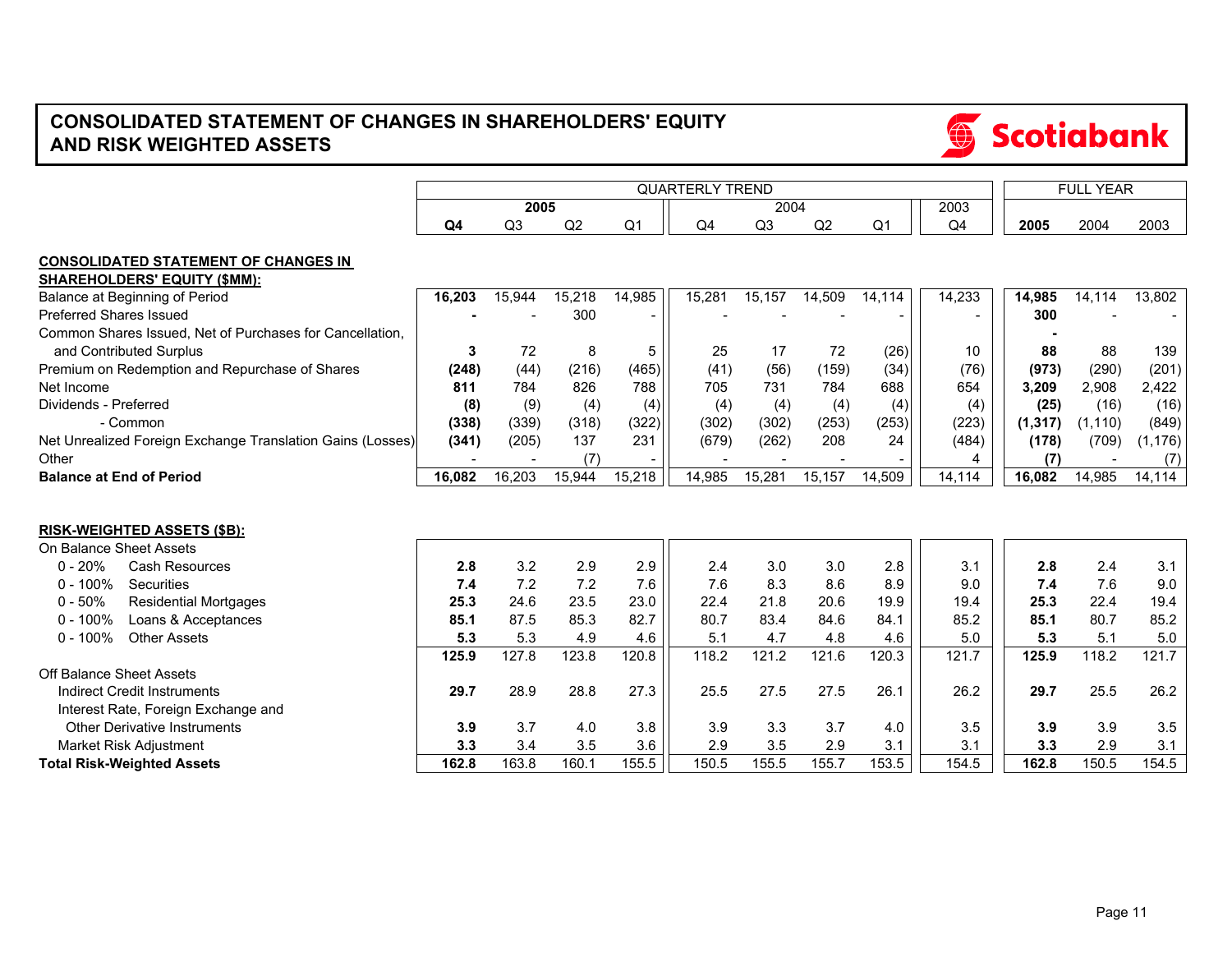## **CONSOLIDATED STATEMENT OF CHANGES IN SHAREHOLDERS' EQUITY AND RISK WEIGHTED ASSETS**

|                                                                                     |                |                |        |                | <b>FULL YEAR</b> |                |              |                |                |               |               |               |
|-------------------------------------------------------------------------------------|----------------|----------------|--------|----------------|------------------|----------------|--------------|----------------|----------------|---------------|---------------|---------------|
|                                                                                     |                | 2005           |        |                |                  | 2004           |              |                | 2003           |               |               |               |
|                                                                                     | Q <sub>4</sub> | Q <sub>3</sub> | Q2     | Q <sub>1</sub> | Q4               | Q <sub>3</sub> | Q2           | Q <sub>1</sub> | Q <sub>4</sub> | 2005          | 2004          | 2003          |
| <b>CONSOLIDATED STATEMENT OF CHANGES IN</b>                                         |                |                |        |                |                  |                |              |                |                |               |               |               |
| <b>SHAREHOLDERS' EQUITY (\$MM):</b>                                                 |                |                |        |                |                  |                |              |                |                |               |               |               |
| Balance at Beginning of Period                                                      | 16,203         | 15,944         | 15,218 | 14,985         | 15,281           | 15,157         | 14,509       | 14,114         | 14,233         | 14,985        | 14,114        | 13,802        |
| <b>Preferred Shares Issued</b>                                                      |                |                | 300    |                |                  |                |              |                |                | 300           |               |               |
| Common Shares Issued. Net of Purchases for Cancellation.<br>and Contributed Surplus | 3              | 72             | 8      | 5              | 25               | 17             | 72           | (26)           | 10             | 88            | 88            | 139           |
|                                                                                     | (248)          | (44)           | (216)  | (465)          | (41)             | (56)           |              | (34)           |                |               |               | (201)         |
| Premium on Redemption and Repurchase of Shares<br>Net Income                        | 811            | 784            | 826    | 788            | 705              | 731            | (159)<br>784 | 688            | (76)<br>654    | (973)         | (290)         |               |
| Dividends - Preferred                                                               | (8)            | (9)            | (4)    | (4)            | (4)              | (4)            | (4)          | (4)            |                | 3,209<br>(25) | 2,908<br>(16) | 2,422<br>(16) |
| - Common                                                                            | (338)          | (339)          | (318)  | (322)          | (302)            | (302)          | (253)        | (253)          | (4)<br>(223)   | (1, 317)      | (1, 110)      | (849)         |
| Net Unrealized Foreign Exchange Translation Gains (Losses)                          | (341)          | (205)          | 137    | 231            | (679)            | (262)          | 208          | 24             | (484)          | (178)         | (709)         | (1, 176)      |
| Other                                                                               |                |                | (7)    |                |                  |                |              |                | 4              |               |               |               |
| <b>Balance at End of Period</b>                                                     | 16.082         | 16,203         | 15,944 | 15,218         | 14,985           | 15,281         | 15,157       | 14,509         | 14,114         | (7)<br>16,082 | 14,985        | (7)<br>14,114 |
|                                                                                     |                |                |        |                |                  |                |              |                |                |               |               |               |
| <b>RISK-WEIGHTED ASSETS (\$B):</b>                                                  |                |                |        |                |                  |                |              |                |                |               |               |               |
| On Balance Sheet Assets                                                             |                |                |        |                |                  |                |              |                |                |               |               |               |
| $0 - 20%$<br><b>Cash Resources</b>                                                  | 2.8            | 3.2            | 2.9    | 2.9            | 2.4              | 3.0            | 3.0          | 2.8            | 3.1            | 2.8           | 2.4           | 3.1           |
| Securities<br>$0 - 100%$                                                            | 7.4            | 7.2            | 7.2    | 7.6            | 7.6              | 8.3            | 8.6          | 8.9            | 9.0            | 7.4           | 7.6           | 9.0           |
| $0 - 50%$<br><b>Residential Mortgages</b>                                           | 25.3           | 24.6           | 23.5   | 23.0           | 22.4             | 21.8           | 20.6         | 19.9           | 19.4           | 25.3          | 22.4          | 19.4          |
| $0 - 100%$<br>Loans & Acceptances                                                   | 85.1           | 87.5           | 85.3   | 82.7           | 80.7             | 83.4           | 84.6         | 84.1           | 85.2           | 85.1          | 80.7          | 85.2          |
| $0 - 100\%$<br><b>Other Assets</b>                                                  | 5.3            | 5.3            | 4.9    | 4.6            | 5.1              | 4.7            | 4.8          | 4.6            | 5.0            | 5.3           | 5.1           | 5.0           |
|                                                                                     | 125.9          | 127.8          | 123.8  | 120.8          | 118.2            | 121.2          | 121.6        | 120.3          | 121.7          | 125.9         | 118.2         | 121.7         |
| Off Balance Sheet Assets                                                            |                |                |        |                |                  |                |              |                |                |               |               |               |
| <b>Indirect Credit Instruments</b>                                                  | 29.7           | 28.9           | 28.8   | 27.3           | 25.5             | 27.5           | 27.5         | 26.1           | 26.2           | 29.7          | 25.5          | 26.2          |
| Interest Rate, Foreign Exchange and                                                 |                |                |        |                |                  |                |              |                |                |               |               |               |
| <b>Other Derivative Instruments</b>                                                 | 3.9            | 3.7            | 4.0    | 3.8            | 3.9              | 3.3            | 3.7          | 4.0            | 3.5            | 3.9           | 3.9           | 3.5           |
| Market Risk Adjustment                                                              | 3.3            | 3.4            | 3.5    | 3.6            | 2.9              | 3.5            | 2.9          | 3.1            | 3.1            | 3.3           | 2.9           | 3.1           |
| <b>Total Risk-Weighted Assets</b>                                                   | 162.8          | 163.8          | 160.1  | 155.5          | 150.5            | 155.5          | 155.7        | 153.5          | 154.5          | 162.8         | 150.5         | 154.5         |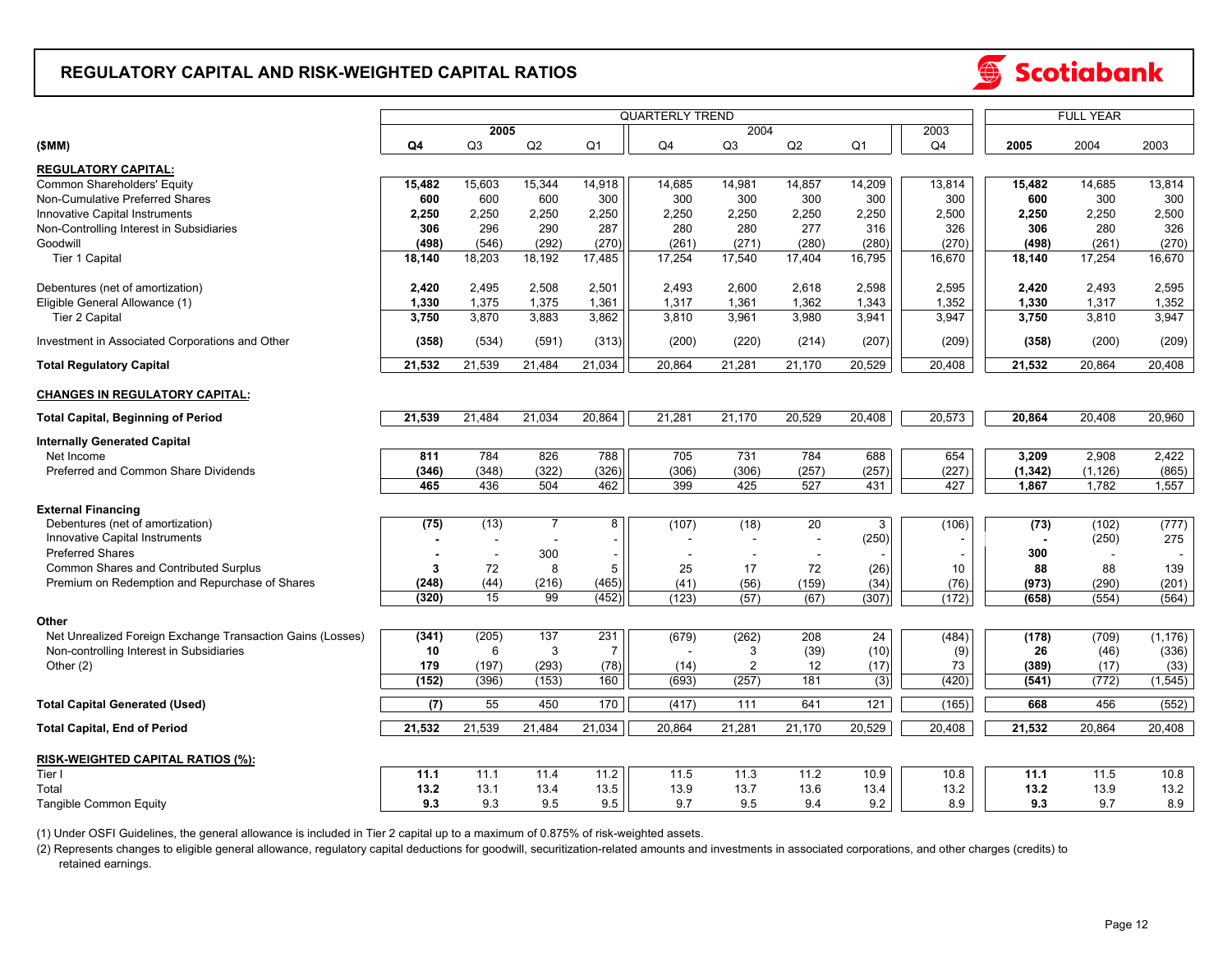#### **REGULATORY CAPITAL AND RISK-WEIGHTED CAPITAL RATIOS**



|                                                            |                      |                          | <b>FULL YEAR</b> |                |                |                |        |                |                |          |          |          |
|------------------------------------------------------------|----------------------|--------------------------|------------------|----------------|----------------|----------------|--------|----------------|----------------|----------|----------|----------|
|                                                            | 2004<br>2005<br>2003 |                          |                  |                |                |                |        |                |                |          |          |          |
| (SMM)                                                      | Q4                   | Q3                       | Q2               | Q <sub>1</sub> | Q <sub>4</sub> | Q <sub>3</sub> | Q2     | Q <sub>1</sub> | Q <sub>4</sub> | 2005     | 2004     | 2003     |
| <b>REGULATORY CAPITAL:</b>                                 |                      |                          |                  |                |                |                |        |                |                |          |          |          |
|                                                            |                      |                          |                  |                |                |                |        |                |                |          |          |          |
| Common Shareholders' Equity                                | 15,482               | 15,603                   | 15,344           | 14,918         | 14,685         | 14,981         | 14,857 | 14,209         | 13,814         | 15,482   | 14,685   | 13,814   |
| Non-Cumulative Preferred Shares                            | 600                  | 600                      | 600              | 300            | 300            | 300            | 300    | 300            | 300            | 600      | 300      | 300      |
| Innovative Capital Instruments                             | 2,250                | 2,250                    | 2,250            | 2,250          | 2,250          | 2,250          | 2,250  | 2,250          | 2,500          | 2,250    | 2,250    | 2,500    |
| Non-Controlling Interest in Subsidiaries                   | 306                  | 296                      | 290              | 287            | 280            | 280            | 277    | 316            | 326            | 306      | 280      | 326      |
| Goodwill                                                   | (498)                | (546)                    | (292)            | (270)          | (261)          | (271)          | (280)  | (280)          | (270)          | (498)    | (261)    | (270)    |
| Tier 1 Capital                                             | 18,140               | 18,203                   | 18,192           | 17,485         | 17,254         | 17,540         | 17,404 | 16,795         | 16,670         | 18,140   | 17,254   | 16,670   |
|                                                            |                      |                          |                  |                |                |                |        |                |                |          |          |          |
| Debentures (net of amortization)                           | 2,420                | 2,495                    | 2,508            | 2,501          | 2,493          | 2,600          | 2,618  | 2,598          | 2,595          | 2,420    | 2,493    | 2,595    |
| Eligible General Allowance (1)                             | 1,330                | 1,375                    | 1,375            | 1,361          | 1,317          | 1,361          | 1,362  | 1,343          | 1,352          | 1,330    | 1,317    | 1,352    |
| Tier 2 Capital                                             | 3,750                | 3,870                    | 3,883            | 3,862          | 3,810          | 3,961          | 3,980  | 3,941          | 3,947          | 3,750    | 3,810    | 3,947    |
|                                                            |                      |                          |                  |                |                |                |        |                |                |          |          |          |
| Investment in Associated Corporations and Other            | (358)                | (534)                    | (591)            | (313)          | (200)          | (220)          | (214)  | (207)          | (209)          | (358)    | (200)    | (209)    |
| <b>Total Regulatory Capital</b>                            | 21,532               | 21,539                   | 21,484           | 21,034         | 20,864         | 21,281         | 21,170 | 20,529         | 20,408         | 21,532   | 20,864   | 20,408   |
| <b>CHANGES IN REGULATORY CAPITAL:</b>                      |                      |                          |                  |                |                |                |        |                |                |          |          |          |
| <b>Total Capital, Beginning of Period</b>                  | 21,539               | 21,484                   | 21,034           | 20,864         | 21,281         | 21,170         | 20,529 | 20,408         | 20,573         | 20,864   | 20,408   | 20,960   |
|                                                            |                      |                          |                  |                |                |                |        |                |                |          |          |          |
| <b>Internally Generated Capital</b>                        |                      |                          |                  |                |                |                |        |                |                |          |          |          |
| Net Income                                                 | 811                  | 784                      | 826              | 788            | 705            | 731            | 784    | 688            | 654            | 3,209    | 2,908    | 2,422    |
| Preferred and Common Share Dividends                       | (346)                | (348)                    | (322)            | (326)          | (306)          | (306)          | (257)  | (257)          | (227)          | (1, 342) | (1, 126) | (865)    |
|                                                            | 465                  | 436                      | 504              | 462            | 399            | 425            | 527    | 431            | 427            | 1,867    | 1,782    | 1,557    |
| <b>External Financing</b>                                  |                      |                          |                  |                |                |                |        |                |                |          |          |          |
|                                                            |                      |                          |                  |                |                |                |        |                |                |          |          |          |
| Debentures (net of amortization)                           | (75)                 | (13)                     | $\overline{7}$   | 8              | (107)          | (18)           | 20     | 3              | (106)          | (73)     | (102)    | (777)    |
| Innovative Capital Instruments                             |                      | $\overline{\phantom{a}}$ |                  |                |                | $\blacksquare$ | $\sim$ | (250)          |                |          | (250)    | 275      |
| <b>Preferred Shares</b>                                    |                      |                          | 300              |                |                |                | $\sim$ |                |                | 300      |          |          |
| Common Shares and Contributed Surplus                      | 3                    | 72                       | 8                | 5              | 25             | 17             | 72     | (26)           | 10             | 88       | 88       | 139      |
| Premium on Redemption and Repurchase of Shares             | (248)                | (44)                     | (216)            | (465)          | (41)           | (56)           | (159)  | (34)           | (76)           | (973)    | (290)    | (201)    |
|                                                            | (320)                | 15                       | 99               | (452)          | (123)          | (57)           | (67)   | (307)          | (172)          | (658)    | (554)    | (564)    |
|                                                            |                      |                          |                  |                |                |                |        |                |                |          |          |          |
| Other                                                      |                      |                          |                  |                |                |                |        |                |                |          |          |          |
| Net Unrealized Foreign Exchange Transaction Gains (Losses) | (341)                | (205)                    | 137              | 231            | (679)          | (262)          | 208    | 24             | (484)          | (178)    | (709)    | (1, 176) |
| Non-controlling Interest in Subsidiaries                   | 10                   | 6                        | 3                | $\overline{7}$ |                | 3              | (39)   | (10)           | (9)            | 26       | (46)     | (336)    |
| Other $(2)$                                                | 179                  | (197)                    | (293)            | (78)           | (14)           | $\overline{2}$ | 12     | (17)           | 73             | (389)    | (17)     | (33)     |
|                                                            | (152)                | (396)                    | (153)            | 160            | (693)          | (257)          | 181    | (3)            | (420)          | (541)    | (772)    | (1, 545) |
| <b>Total Capital Generated (Used)</b>                      | (7)                  | 55                       | 450              | 170            | (417)          | 111            | 641    | 121            | (165)          | 668      | 456      | (552)    |
| <b>Total Capital, End of Period</b>                        | 21,532               | 21,539                   | 21,484           | 21,034         | 20,864         | 21,281         | 21,170 | 20,529         | 20,408         | 21,532   | 20,864   | 20,408   |
|                                                            |                      |                          |                  |                |                |                |        |                |                |          |          |          |
| RISK-WEIGHTED CAPITAL RATIOS (%):                          |                      |                          |                  |                |                |                |        |                |                |          |          |          |
| Tier I                                                     | 11.1                 | 11.1                     | 11.4             | 11.2           | 11.5           | 11.3           | 11.2   | 10.9           | 10.8           | 11.1     | 11.5     | 10.8     |
| Total                                                      | 13.2                 | 13.1                     | 13.4             | 13.5           | 13.9           | 13.7           | 13.6   | 13.4           | 13.2           | 13.2     | 13.9     | 13.2     |
| Tangible Common Equity                                     | 9.3                  | 9.3                      | 9.5              | 9.5            | 9.7            | 9.5            | 9.4    | 9.2            | 8.9            | 9.3      | 9.7      | 8.9      |
|                                                            |                      |                          |                  |                |                |                |        |                |                |          |          |          |

(1) Under OSFI Guidelines, the general allowance is included in Tier 2 capital up to a maximum of 0.875% of risk-weighted assets.

 retained earnings. (2) Represents changes to eligible general allowance, regulatory capital deductions for goodwill, securitization-related amounts and investments in associated corporations, and other charges (credits) to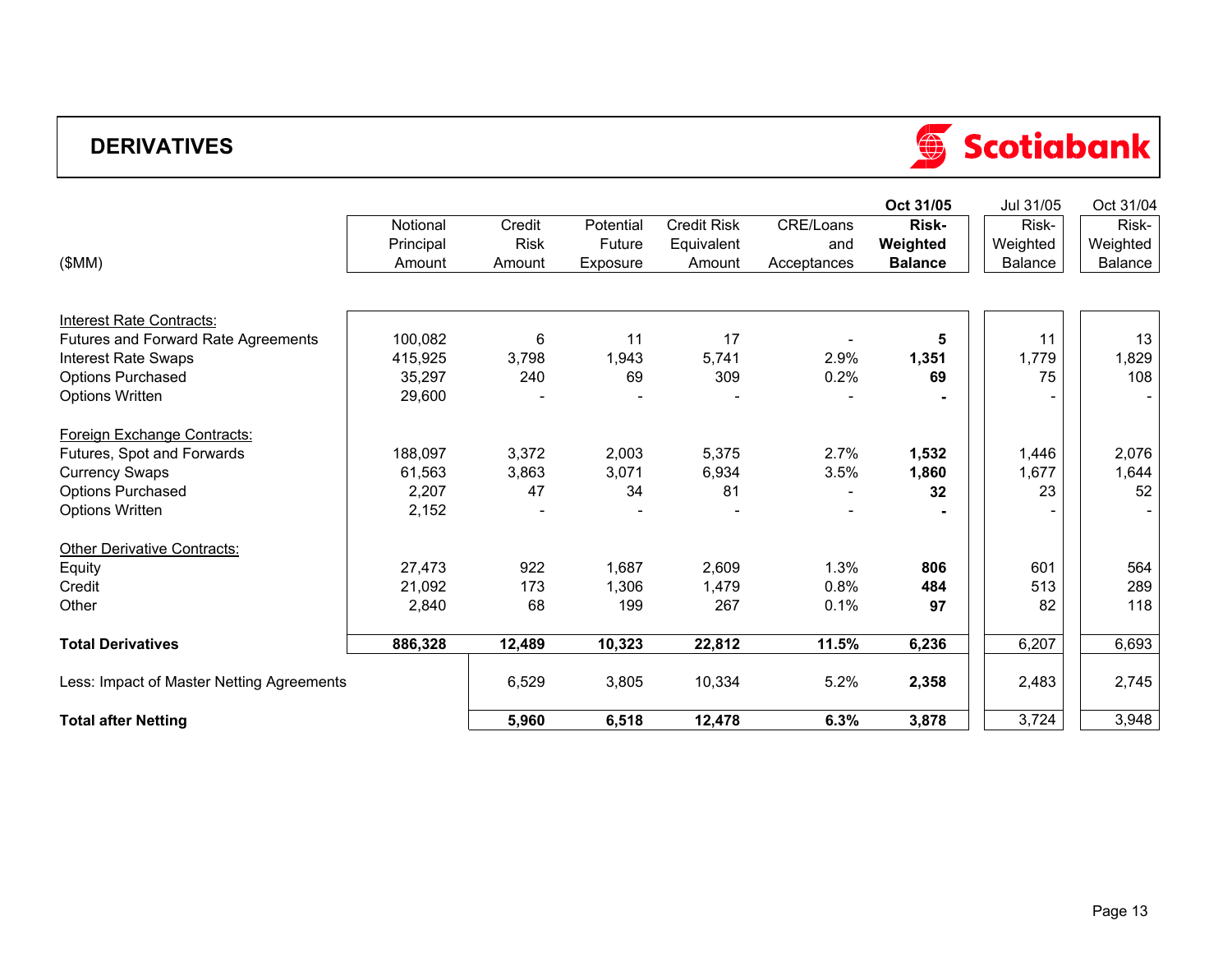## **DERIVATIVES**

|                                           |           |             |           |                    |             | Oct 31/05      | Jul 31/05 | Oct 31/04 |
|-------------------------------------------|-----------|-------------|-----------|--------------------|-------------|----------------|-----------|-----------|
|                                           | Notional  | Credit      | Potential | <b>Credit Risk</b> | CRE/Loans   | Risk-          | Risk-     | Risk-     |
|                                           | Principal | <b>Risk</b> | Future    | Equivalent         | and         | Weighted       | Weighted  | Weighted  |
| (SMM)                                     | Amount    | Amount      | Exposure  | Amount             | Acceptances | <b>Balance</b> | Balance   | Balance   |
|                                           |           |             |           |                    |             |                |           |           |
| <b>Interest Rate Contracts:</b>           |           |             |           |                    |             |                |           |           |
| Futures and Forward Rate Agreements       | 100,082   | 6           | 11        | 17                 |             | 5              | 11        | 13        |
| Interest Rate Swaps                       | 415,925   | 3,798       | 1,943     | 5,741              | 2.9%        | 1,351          | 1,779     | 1,829     |
| <b>Options Purchased</b>                  | 35,297    | 240         | 69        | 309                | 0.2%        | 69             | 75        | 108       |
| <b>Options Written</b>                    | 29,600    |             |           |                    |             |                |           |           |
| Foreign Exchange Contracts:               |           |             |           |                    |             |                |           |           |
| Futures, Spot and Forwards                | 188,097   | 3,372       | 2,003     | 5,375              | 2.7%        | 1,532          | 1,446     | 2,076     |
| <b>Currency Swaps</b>                     | 61,563    | 3,863       | 3,071     | 6,934              | 3.5%        | 1,860          | 1,677     | 1,644     |
| <b>Options Purchased</b>                  | 2,207     | 47          | 34        | 81                 |             | 32             | 23        | 52        |
| <b>Options Written</b>                    | 2,152     |             |           |                    |             |                |           |           |
| Other Derivative Contracts:               |           |             |           |                    |             |                |           |           |
| Equity                                    | 27,473    | 922         | 1,687     | 2,609              | 1.3%        | 806            | 601       | 564       |
| Credit                                    | 21,092    | 173         | 1,306     | 1,479              | 0.8%        | 484            | 513       | 289       |
| Other                                     | 2,840     | 68          | 199       | 267                | 0.1%        | 97             | 82        | 118       |
| <b>Total Derivatives</b>                  | 886,328   | 12,489      | 10,323    | 22,812             | 11.5%       | 6,236          | 6,207     | 6,693     |
| Less: Impact of Master Netting Agreements |           | 6,529       | 3,805     | 10,334             | 5.2%        | 2,358          | 2,483     | 2,745     |
| <b>Total after Netting</b>                |           | 5,960       | 6,518     | 12,478             | 6.3%        | 3,878          | 3,724     | 3,948     |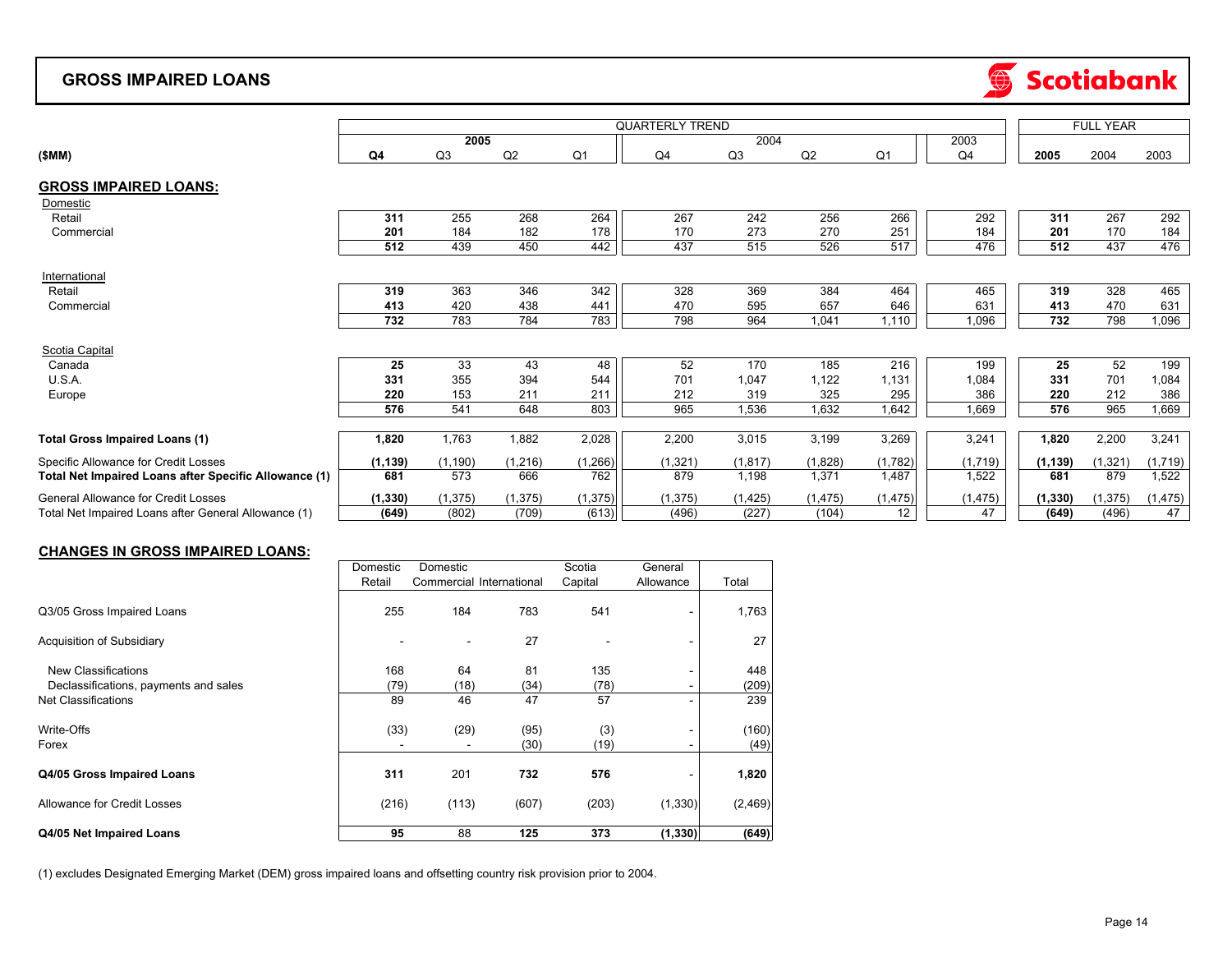#### **GROSS IMPAIRED LOANS**



|                                                       |          | <b>FULL YEAR</b> |          |                |                        |                |          |                |                |          |          |          |
|-------------------------------------------------------|----------|------------------|----------|----------------|------------------------|----------------|----------|----------------|----------------|----------|----------|----------|
|                                                       |          | 2005             |          |                | <b>QUARTERLY TREND</b> | 2004           |          |                | 2003           |          |          |          |
|                                                       |          |                  |          |                |                        |                |          |                |                |          |          |          |
| (SMM)                                                 | Q4       | Q3               | Q2       | Q <sub>1</sub> | Q4                     | Q <sub>3</sub> | Q2       | Q <sub>1</sub> | Q <sub>4</sub> | 2005     | 2004     | 2003     |
| <b>GROSS IMPAIRED LOANS:</b>                          |          |                  |          |                |                        |                |          |                |                |          |          |          |
| Domestic                                              |          |                  |          |                |                        |                |          |                |                |          |          |          |
| Retail                                                | 311      | 255              | 268      | 264            | 267                    | 242            | 256      | 266            | 292            | 311      | 267      | 292      |
| Commercial                                            | 201      | 184              | 182      | 178            | 170                    | 273            | 270      | 251            | 184            | 201      | 170      | 184      |
|                                                       | 512      | 439              | 450      | 442            | 437                    | 515            | 526      | 517            | 476            | 512      | 437      | 476      |
| International                                         |          |                  |          |                |                        |                |          |                |                |          |          |          |
| Retail                                                | 319      | 363              | 346      | 342            | 328                    | 369            | 384      | 464            | 465            | 319      | 328      | 465      |
| Commercial                                            | 413      | 420              | 438      | 441            | 470                    | 595            | 657      | 646            | 631            | 413      | 470      | 631      |
|                                                       | 732      | 783              | 784      | 783            | 798                    | 964            | 1.041    | 1,110          | 1,096          | 732      | 798      | 1,096    |
| Scotia Capital                                        |          |                  |          |                |                        |                |          |                |                |          |          |          |
| Canada                                                | 25       | 33               | 43       | 48             | 52                     | 170            | 185      | 216            | 199            | 25       | 52       | 199      |
| U.S.A.                                                | 331      | 355              | 394      | 544            | 701                    | 1,047          | 1,122    | 1,131          | 1,084          | 331      | 701      | 1,084    |
| Europe                                                | 220      | 153              | 211      | 211            | 212                    | 319            | 325      | 295            | 386            | 220      | 212      | 386      |
|                                                       | 576      | 541              | 648      | 803            | 965                    | 1,536          | 1,632    | 1,642          | 1,669          | 576      | 965      | 1,669    |
|                                                       |          |                  |          |                |                        |                |          |                |                |          |          |          |
| <b>Total Gross Impaired Loans (1)</b>                 | 1,820    | 1,763            | 1,882    | 2,028          | 2,200                  | 3,015          | 3,199    | 3,269          | 3,241          | 1,820    | 2,200    | 3,241    |
| Specific Allowance for Credit Losses                  | (1, 139) | (1, 190)         | (1,216)  | (1,266)        | (1,321)                | (1, 817)       | (1,828)  | (1,782)        | (1,719)        | (1, 139) | (1, 321) | (1,719)  |
| Total Net Impaired Loans after Specific Allowance (1) | 681      | 573              | 666      | 762            | 879                    | 1,198          | 1,371    | 1,487          | 1,522          | 681      | 879      | 1,522    |
| <b>General Allowance for Credit Losses</b>            | (1, 330) | (1, 375)         | (1, 375) | (1, 375)       | (1, 375)               | (1, 425)       | (1, 475) | (1, 475)       | (1, 475)       | (1, 330) | (1, 375) | (1, 475) |
| Total Net Impaired Loans after General Allowance (1)  | (649)    | (802)            | (709)    | (613)          | (496)                  | (227)          | (104)    | 12             | 47             | (649)    | (496)    | 47       |

#### **CHANGES IN GROSS IMPAIRED LOANS:**

| Domestic | Domestic |                       | Scotia                                            | General   |          |
|----------|----------|-----------------------|---------------------------------------------------|-----------|----------|
| Retail   |          |                       | Capital                                           | Allowance | Total    |
| 255      | 184      | 783                   | 541                                               |           | 1,763    |
|          |          | 27                    |                                                   |           | 27       |
| 168      | 64       | 81                    | 135                                               |           | 448      |
|          |          | (34)                  | (78)                                              |           | (209)    |
| 89       | 46       | 47                    | 57                                                |           | 239      |
|          |          | (95)                  | (3)                                               |           | (160)    |
|          |          | (30)                  | (19)                                              |           | (49)     |
| 311      | 201      | 732                   | 576                                               |           | 1,820    |
|          |          | (607)                 | (203)                                             | (1, 330)  | (2, 469) |
| 95       | 88       | 125                   | 373                                               | (1, 330)  | (649)    |
|          |          | (79)<br>(33)<br>(216) | Commercial International<br>(18)<br>(29)<br>(113) |           |          |

(1) excludes Designated Emerging Market (DEM) gross impaired loans and offsetting country risk provision prior to 2004.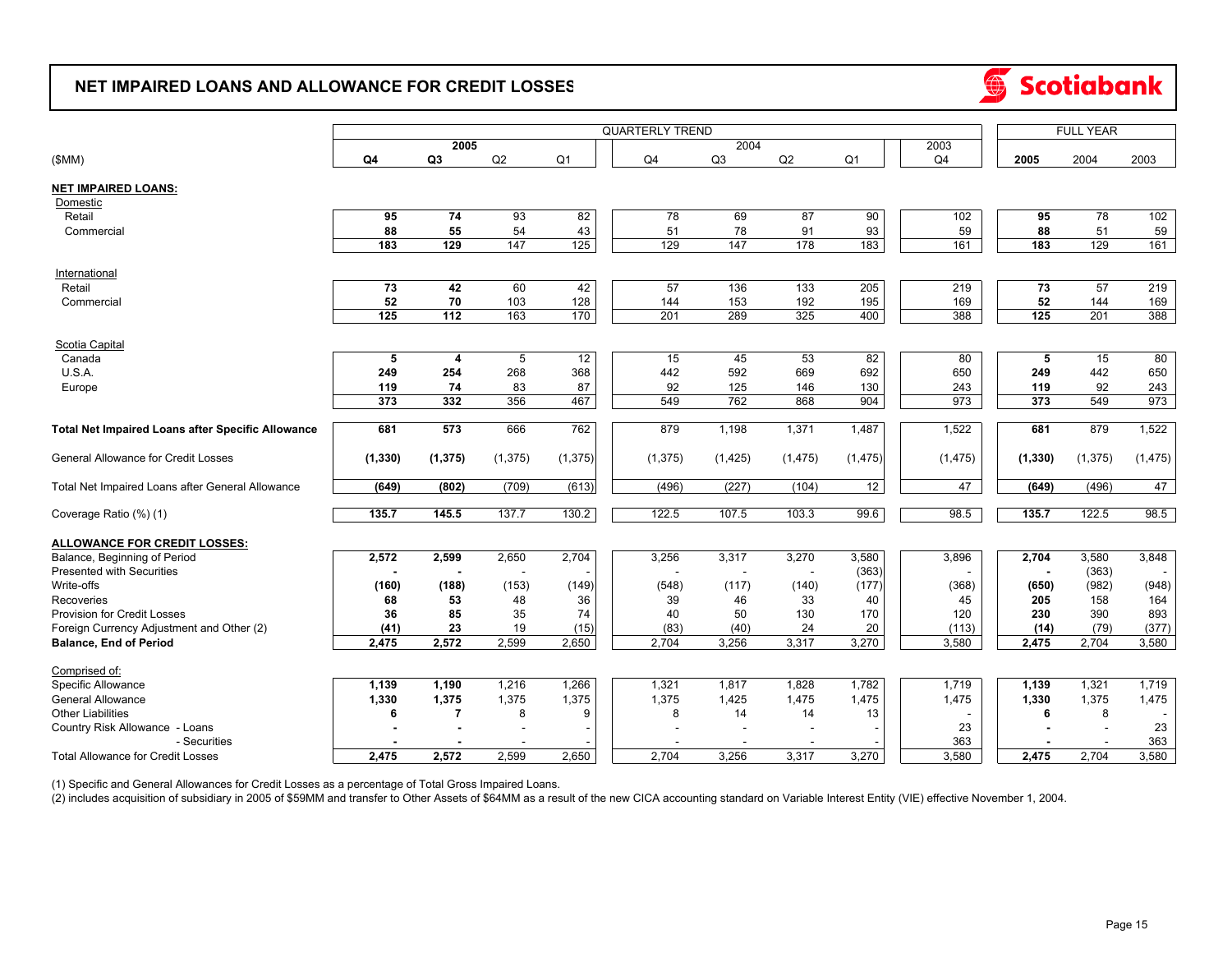#### **NET IMPAIRED LOANS AND ALLOWANCE FOR CREDIT LOSSES**



|                                                          | <b>QUARTERLY TREND</b> |                |          |                |  |          |          |          |                |                |          | <b>FULL YEAR</b> |          |  |
|----------------------------------------------------------|------------------------|----------------|----------|----------------|--|----------|----------|----------|----------------|----------------|----------|------------------|----------|--|
|                                                          | 2005                   |                |          |                |  |          | 2004     |          | 2003           |                |          |                  |          |  |
| (SMM)                                                    | Q4                     | Q <sub>3</sub> | Q2       | Q <sub>1</sub> |  | Q4       | Q3       | Q2       | Q <sub>1</sub> | Q <sub>4</sub> | 2005     | 2004             | 2003     |  |
| <b>NET IMPAIRED LOANS:</b>                               |                        |                |          |                |  |          |          |          |                |                |          |                  |          |  |
| Domestic                                                 |                        |                |          |                |  |          |          |          |                |                |          |                  |          |  |
| Retail                                                   | 95                     | 74             | 93       | 82             |  | 78       | 69       | 87       | 90             | 102            | 95       | 78               | 102      |  |
| Commercial                                               | 88                     | 55             | 54       | 43             |  | 51       | 78       | 91       | 93             | 59             | 88       | 51               | 59       |  |
|                                                          | 183                    | 129            | 147      | 125            |  | 129      | 147      | 178      | 183            | 161            | 183      | 129              | 161      |  |
| International                                            |                        |                |          |                |  |          |          |          |                |                |          |                  |          |  |
| Retail                                                   | 73                     | 42             | 60       | 42             |  | 57       | 136      | 133      | 205            | 219            | 73       | 57               | 219      |  |
| Commercial                                               | 52                     | 70             | 103      | 128            |  | 144      | 153      | 192      | 195            | 169            | 52       | 144              | 169      |  |
|                                                          | 125                    | 112            | 163      | 170            |  | 201      | 289      | 325      | 400            | 388            | 125      | 201              | 388      |  |
| Scotia Capital                                           |                        |                |          |                |  |          |          |          |                |                |          |                  |          |  |
| Canada                                                   | 5                      | 4              | 5        | 12             |  | 15       | 45       | 53       | 82             | 80             | 5        | 15               | 80       |  |
| U.S.A.                                                   | 249                    | 254            | 268      | 368            |  | 442      | 592      | 669      | 692            | 650            | 249      | 442              | 650      |  |
| Europe                                                   | 119                    | 74             | 83       | 87             |  | 92       | 125      | 146      | 130            | 243            | 119      | 92               | 243      |  |
|                                                          | 373                    | 332            | 356      | 467            |  | 549      | 762      | 868      | 904            | 973            | 373      | 549              | 973      |  |
|                                                          |                        |                |          |                |  |          |          |          |                |                |          |                  |          |  |
| <b>Total Net Impaired Loans after Specific Allowance</b> | 681                    | 573            | 666      | 762            |  | 879      | 1,198    | 1,371    | 1,487          | 1,522          | 681      | 879              | 1,522    |  |
| <b>General Allowance for Credit Losses</b>               | (1, 330)               | (1, 375)       | (1, 375) | (1, 375)       |  | (1, 375) | (1, 425) | (1, 475) | (1, 475)       | (1, 475)       | (1, 330) | (1, 375)         | (1, 475) |  |
| Total Net Impaired Loans after General Allowance         | (649)                  | (802)          | (709)    | (613)          |  | (496)    | (227)    | (104)    | 12             | 47             | (649)    | (496)            | 47       |  |
| Coverage Ratio (%) (1)                                   | 135.7                  | 145.5          | 137.7    | 130.2          |  | 122.5    | 107.5    | 103.3    | 99.6           | 98.5           | 135.7    | 122.5            | 98.5     |  |
|                                                          |                        |                |          |                |  |          |          |          |                |                |          |                  |          |  |
| <b>ALLOWANCE FOR CREDIT LOSSES:</b>                      |                        |                |          |                |  |          |          |          |                |                |          |                  |          |  |
| Balance, Beginning of Period                             | 2,572                  | 2,599          | 2,650    | 2,704          |  | 3,256    | 3,317    | 3,270    | 3,580          | 3,896          | 2,704    | 3,580            | 3,848    |  |
| <b>Presented with Securities</b>                         |                        |                |          |                |  |          |          |          | (363)          |                |          | (363)            | $\sim$   |  |
| Write-offs                                               | (160)                  | (188)          | (153)    | (149)          |  | (548)    | (117)    | (140)    | (177)          | (368)          | (650)    | (982)            | (948)    |  |
| Recoveries                                               | 68                     | 53             | 48       | 36             |  | 39       | 46       | 33       | 40             | 45             | 205      | 158              | 164      |  |
| <b>Provision for Credit Losses</b>                       | 36                     | 85             | 35       | 74             |  | 40       | 50       | 130      | 170            | 120            | 230      | 390              | 893      |  |
| Foreign Currency Adjustment and Other (2)                | (41)                   | 23             | 19       | (15)           |  | (83)     | (40)     | 24       | 20             | (113)          | (14)     | (79)             | (377)    |  |
| <b>Balance, End of Period</b>                            | 2,475                  | 2,572          | 2,599    | 2,650          |  | 2,704    | 3,256    | 3,317    | 3,270          | 3,580          | 2,475    | 2,704            | 3,580    |  |
| Comprised of:                                            |                        |                |          |                |  |          |          |          |                |                |          |                  |          |  |
| Specific Allowance                                       | 1,139                  | 1,190          | 1,216    | 1,266          |  | 1,321    | 1,817    | 1,828    | 1,782          | 1,719          | 1,139    | 1,321            | 1,719    |  |
| <b>General Allowance</b>                                 | 1,330                  | 1,375          | 1,375    | 1,375          |  | 1,375    | 1,425    | 1,475    | 1,475          | 1,475          | 1,330    | 1,375            | 1,475    |  |
| <b>Other Liabilities</b>                                 | 6                      | $\overline{7}$ | 8        | 9              |  | 8        | 14       | 14       | 13             |                | 6        | 8                |          |  |
| Country Risk Allowance - Loans                           |                        |                |          |                |  |          |          |          |                | 23             |          |                  | 23       |  |
| - Securities                                             |                        |                |          |                |  |          |          |          |                | 363            |          |                  | 363      |  |
| <b>Total Allowance for Credit Losses</b>                 | 2,475                  | 2,572          | 2,599    | 2,650          |  | 2,704    | 3,256    | 3,317    | 3,270          | 3,580          | 2,475    | 2.704            | 3,580    |  |

(1) Specific and General Allowances for Credit Losses as a percentage of Total Gross Impaired Loans.

(2) includes acquisition of subsidiary in 2005 of \$59MM and transfer to Other Assets of \$64MM as a result of the new CICA accounting standard on Variable Interest Entity (VIE) effective November 1, 2004.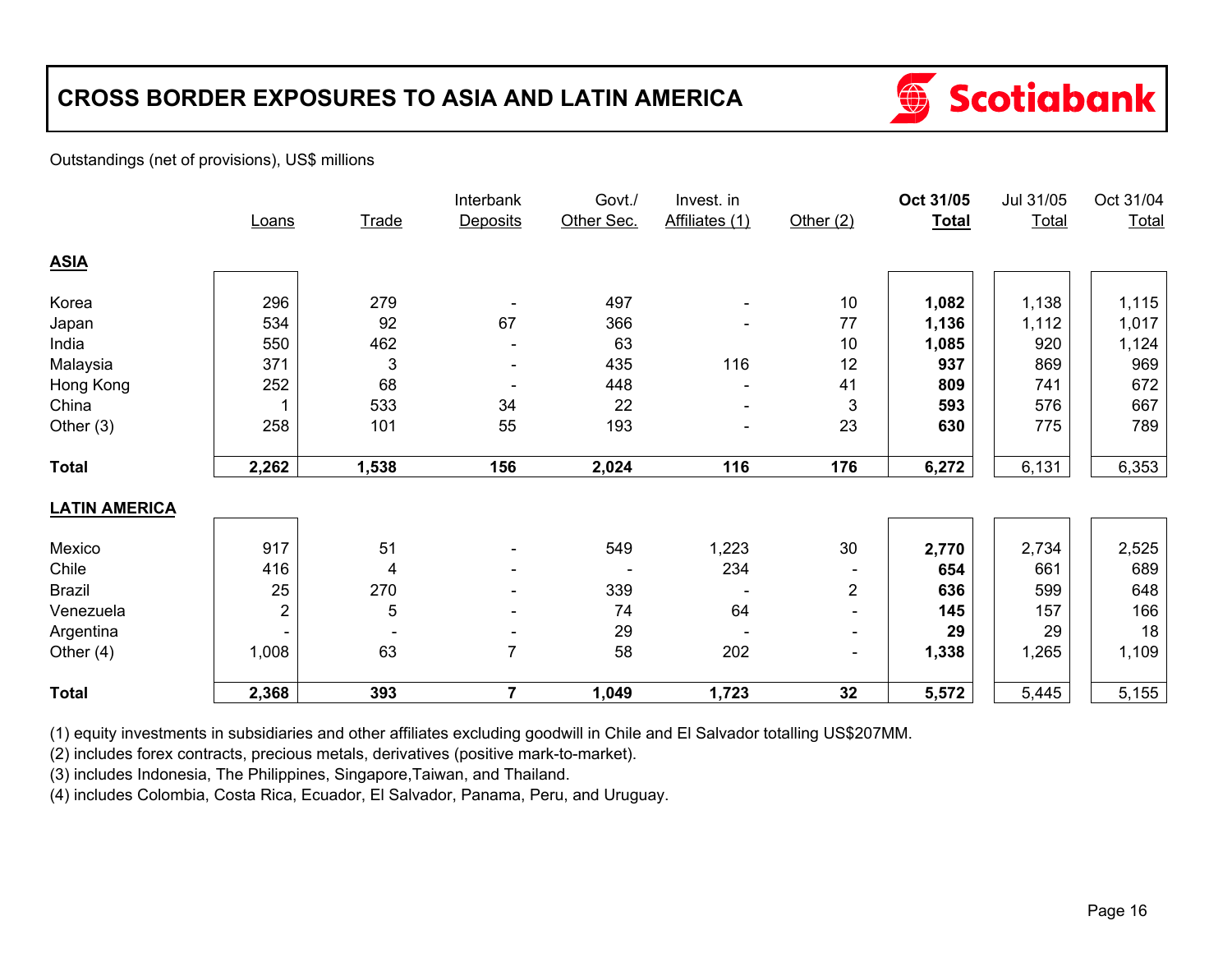# **CROSS BORDER EXPOSURES TO ASIA AND LATIN AMERICA**



#### Outstandings (net of provisions), US\$ millions

|                      |                         |                          | Interbank                | Govt./     | Invest. in               |                           | Oct 31/05    | Jul 31/05    | Oct 31/04 |
|----------------------|-------------------------|--------------------------|--------------------------|------------|--------------------------|---------------------------|--------------|--------------|-----------|
|                      | Loans                   | Trade                    | <b>Deposits</b>          | Other Sec. | Affiliates (1)           | Other $(2)$               | <b>Total</b> | <b>Total</b> | Total     |
| <b>ASIA</b>          |                         |                          |                          |            |                          |                           |              |              |           |
| Korea                | 296                     | 279                      |                          | 497        |                          | 10                        | 1,082        | 1,138        | 1,115     |
| Japan                | 534                     | 92                       | 67                       | 366        |                          | 77                        | 1,136        | 1,112        | 1,017     |
| India                | 550                     | 462                      |                          | 63         |                          | 10                        | 1,085        | 920          | 1,124     |
| Malaysia             | 371                     | 3                        |                          | 435        | 116                      | 12                        | 937          | 869          | 969       |
| Hong Kong            | 252                     | 68                       |                          | 448        |                          | 41                        | 809          | 741          | 672       |
| China                |                         | 533                      | 34                       | 22         |                          | $\ensuremath{\mathsf{3}}$ | 593          | 576          | 667       |
| Other $(3)$          | 258                     | 101                      | 55                       | 193        | $\overline{\phantom{0}}$ | 23                        | 630          | 775          | 789       |
| <b>Total</b>         | 2,262                   | 1,538                    | 156                      | 2,024      | 116                      | 176                       | 6,272        | 6,131        | 6,353     |
| <b>LATIN AMERICA</b> |                         |                          |                          |            |                          |                           |              |              |           |
| Mexico               | 917                     | 51                       | $\blacksquare$           | 549        | 1,223                    | 30                        | 2,770        | 2,734        | 2,525     |
| Chile                | 416                     | 4                        |                          |            | 234                      |                           | 654          | 661          | 689       |
| <b>Brazil</b>        | 25                      | 270                      | $\overline{\phantom{0}}$ | 339        |                          | $\overline{2}$            | 636          | 599          | 648       |
| Venezuela            | $\overline{\mathbf{c}}$ | 5                        | $\overline{\phantom{a}}$ | 74         | 64                       | Ξ.                        | 145          | 157          | 166       |
| Argentina            |                         | $\overline{\phantom{a}}$ | $\overline{\phantom{a}}$ | 29         |                          | $\blacksquare$            | 29           | 29           | 18        |
| Other $(4)$          | 1,008                   | 63                       | 7                        | 58         | 202                      | $\sim$                    | 1,338        | 1,265        | 1,109     |
| <b>Total</b>         | 2,368                   | 393                      | $\overline{7}$           | 1,049      | 1,723                    | 32                        | 5,572        | 5,445        | 5,155     |

(1) equity investments in subsidiaries and other affiliates excluding goodwill in Chile and El Salvador totalling US\$207MM.

(2) includes forex contracts, precious metals, derivatives (positive mark-to-market).

(3) includes Indonesia, The Philippines, Singapore,Taiwan, and Thailand.

(4) includes Colombia, Costa Rica, Ecuador, El Salvador, Panama, Peru, and Uruguay.